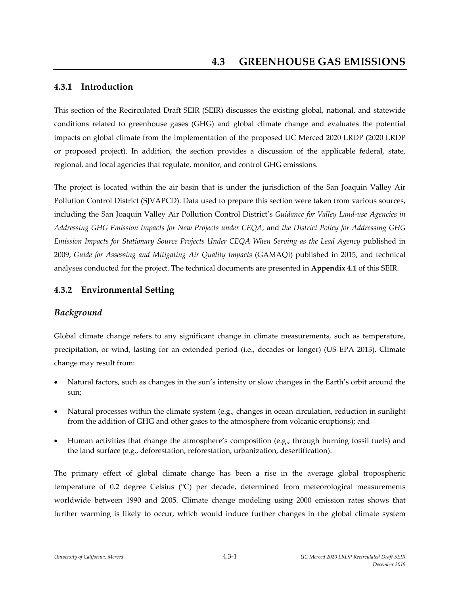## **4.3.1 Introduction**

This section of the Recirculated Draft SEIR (SEIR) discusses the existing global, national, and statewide conditions related to greenhouse gases (GHG) and global climate change and evaluates the potential impacts on global climate from the implementation of the proposed UC Merced 2020 LRDP (2020 LRDP or proposed project). In addition, the section provides a discussion of the applicable federal, state, regional, and local agencies that regulate, monitor, and control GHG emissions.

The project is located within the air basin that is under the jurisdiction of the San Joaquin Valley Air Pollution Control District (SJVAPCD). Data used to prepare this section were taken from various sources, including the San Joaquin Valley Air Pollution Control District's *Guidance for Valley Land‐use Agencies in Addressing GHG Emission Impacts for New Projects under CEQA,* and *the District Policy for Addressing GHG Emission Impacts for Stationary Source Projects Under CEQA When Serving as the Lead Agency* published in 2009, *Guide for Assessing and Mitigating Air Quality Impacts* (GAMAQI) published in 2015, and technical analyses conducted for the project. The technical documents are presented in **Appendix 4.1** of this SEIR.

# **4.3.2 Environmental Setting**

## *Background*

Global climate change refers to any significant change in climate measurements, such as temperature, precipitation, or wind, lasting for an extended period (i.e., decades or longer) (US EPA 2013). Climate change may result from:

- Natural factors, such as changes in the sun's intensity or slow changes in the Earth's orbit around the sun;
- Natural processes within the climate system (e.g., changes in ocean circulation, reduction in sunlight from the addition of GHG and other gases to the atmosphere from volcanic eruptions); and
- Human activities that change the atmosphere's composition (e.g., through burning fossil fuels) and the land surface (e.g., deforestation, reforestation, urbanization, desertification).

The primary effect of global climate change has been a rise in the average global tropospheric temperature of 0.2 degree Celsius (°C) per decade, determined from meteorological measurements worldwide between 1990 and 2005. Climate change modeling using 2000 emission rates shows that further warming is likely to occur, which would induce further changes in the global climate system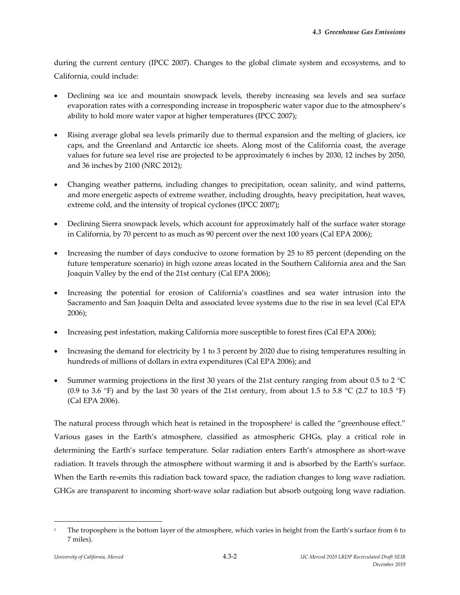during the current century (IPCC 2007). Changes to the global climate system and ecosystems, and to California, could include:

- Declining sea ice and mountain snowpack levels, thereby increasing sea levels and sea surface evaporation rates with a corresponding increase in tropospheric water vapor due to the atmosphere's ability to hold more water vapor at higher temperatures (IPCC 2007);
- Rising average global sea levels primarily due to thermal expansion and the melting of glaciers, ice caps, and the Greenland and Antarctic ice sheets. Along most of the California coast, the average values for future sea level rise are projected to be approximately 6 inches by 2030, 12 inches by 2050, and 36 inches by 2100 (NRC 2012);
- Changing weather patterns, including changes to precipitation, ocean salinity, and wind patterns, and more energetic aspects of extreme weather, including droughts, heavy precipitation, heat waves, extreme cold, and the intensity of tropical cyclones (IPCC 2007);
- Declining Sierra snowpack levels, which account for approximately half of the surface water storage in California, by 70 percent to as much as 90 percent over the next 100 years (Cal EPA 2006);
- Increasing the number of days conducive to ozone formation by 25 to 85 percent (depending on the future temperature scenario) in high ozone areas located in the Southern California area and the San Joaquin Valley by the end of the 21st century (Cal EPA 2006);
- Increasing the potential for erosion of California's coastlines and sea water intrusion into the Sacramento and San Joaquin Delta and associated levee systems due to the rise in sea level (Cal EPA 2006);
- Increasing pest infestation, making California more susceptible to forest fires (Cal EPA 2006);
- Increasing the demand for electricity by 1 to 3 percent by 2020 due to rising temperatures resulting in hundreds of millions of dollars in extra expenditures (Cal EPA 2006); and
- Summer warming projections in the first 30 years of the 21st century ranging from about 0.5 to 2 °C (0.9 to 3.6 °F) and by the last 30 years of the 21st century, from about 1.5 to 5.8 °C (2.7 to 10.5 °F) (Cal EPA 2006).

The natural process through which heat is retained in the troposphere<sup>1</sup> is called the "greenhouse effect." Various gases in the Earth's atmosphere, classified as atmospheric GHGs, play a critical role in determining the Earth's surface temperature. Solar radiation enters Earth's atmosphere as short‐wave radiation. It travels through the atmosphere without warming it and is absorbed by the Earth's surface. When the Earth re-emits this radiation back toward space, the radiation changes to long wave radiation. GHGs are transparent to incoming short-wave solar radiation but absorb outgoing long wave radiation.

 $\overline{\phantom{a}}$  ,  $\overline{\phantom{a}}$  ,  $\overline{\phantom{a}}$  ,  $\overline{\phantom{a}}$  ,  $\overline{\phantom{a}}$  ,  $\overline{\phantom{a}}$  ,  $\overline{\phantom{a}}$  ,  $\overline{\phantom{a}}$  ,  $\overline{\phantom{a}}$  ,  $\overline{\phantom{a}}$  ,  $\overline{\phantom{a}}$  ,  $\overline{\phantom{a}}$  ,  $\overline{\phantom{a}}$  ,  $\overline{\phantom{a}}$  ,  $\overline{\phantom{a}}$  ,  $\overline{\phantom{a}}$ 

<sup>1</sup> The troposphere is the bottom layer of the atmosphere, which varies in height from the Earth's surface from 6 to 7 miles).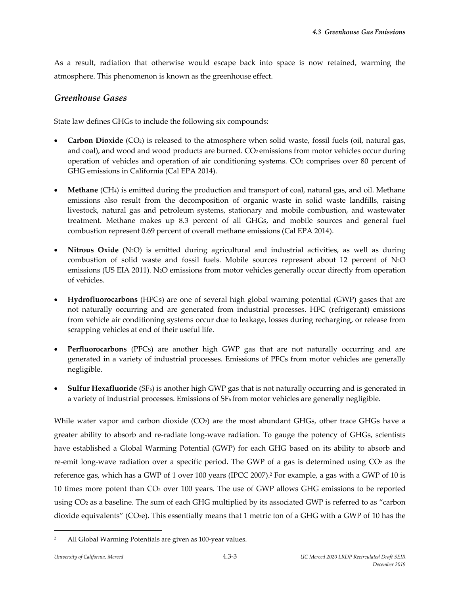As a result, radiation that otherwise would escape back into space is now retained, warming the atmosphere. This phenomenon is known as the greenhouse effect.

## *Greenhouse Gases*

State law defines GHGs to include the following six compounds:

- **Carbon Dioxide** (CO<sub>2</sub>) is released to the atmosphere when solid waste, fossil fuels (oil, natural gas, and coal), and wood and wood products are burned. CO<sub>2</sub> emissions from motor vehicles occur during operation of vehicles and operation of air conditioning systems. CO<sub>2</sub> comprises over 80 percent of GHG emissions in California (Cal EPA 2014).
- **Methane** (CH4) is emitted during the production and transport of coal, natural gas, and oil. Methane emissions also result from the decomposition of organic waste in solid waste landfills, raising livestock, natural gas and petroleum systems, stationary and mobile combustion, and wastewater treatment. Methane makes up 8.3 percent of all GHGs, and mobile sources and general fuel combustion represent 0.69 percent of overall methane emissions (Cal EPA 2014).
- **Nitrous Oxide** (N2O) is emitted during agricultural and industrial activities, as well as during combustion of solid waste and fossil fuels. Mobile sources represent about 12 percent of N2O emissions (US EIA 2011). N2O emissions from motor vehicles generally occur directly from operation of vehicles.
- **Hydrofluorocarbons** (HFCs) are one of several high global warning potential (GWP) gases that are not naturally occurring and are generated from industrial processes. HFC (refrigerant) emissions from vehicle air conditioning systems occur due to leakage, losses during recharging, or release from scrapping vehicles at end of their useful life.
- **Perfluorocarbons** (PFCs) are another high GWP gas that are not naturally occurring and are generated in a variety of industrial processes. Emissions of PFCs from motor vehicles are generally negligible.
- **Sulfur Hexafluoride** (SF6) is another high GWP gas that is not naturally occurring and is generated in a variety of industrial processes. Emissions of SF6 from motor vehicles are generally negligible.

While water vapor and carbon dioxide (CO<sub>2</sub>) are the most abundant GHGs, other trace GHGs have a greater ability to absorb and re‐radiate long‐wave radiation. To gauge the potency of GHGs, scientists have established a Global Warming Potential (GWP) for each GHG based on its ability to absorb and re-emit long-wave radiation over a specific period. The GWP of a gas is determined using  $CO<sub>2</sub>$  as the reference gas, which has a GWP of 1 over 100 years (IPCC 2007).2 For example, a gas with a GWP of 10 is 10 times more potent than CO2 over 100 years. The use of GWP allows GHG emissions to be reported using CO2 as a baseline. The sum of each GHG multiplied by its associated GWP is referred to as "carbon dioxide equivalents" (CO2e). This essentially means that 1 metric ton of a GHG with a GWP of 10 has the

<sup>&</sup>lt;sup>2</sup> All Global Warming Potentials are given as 100-year values.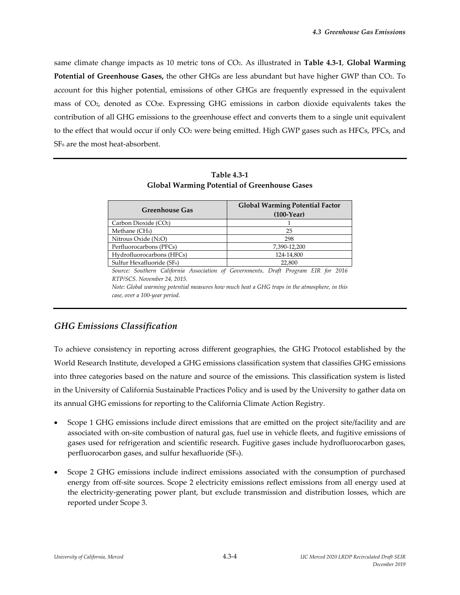same climate change impacts as 10 metric tons of CO2. As illustrated in **Table 4.3‐1**, **Global Warming Potential of Greenhouse Gases,** the other GHGs are less abundant but have higher GWP than CO2. To account for this higher potential, emissions of other GHGs are frequently expressed in the equivalent mass of CO2, denoted as CO2e. Expressing GHG emissions in carbon dioxide equivalents takes the contribution of all GHG emissions to the greenhouse effect and converts them to a single unit equivalent to the effect that would occur if only CO<sub>2</sub> were being emitted. High GWP gases such as HFCs, PFCs, and SF<sub>6</sub> are the most heat-absorbent.

| <b>Greenhouse Gas</b>                                                                        | <b>Global Warming Potential Factor</b><br>$(100-Year)$ |  |  |  |
|----------------------------------------------------------------------------------------------|--------------------------------------------------------|--|--|--|
| Carbon Dioxide (CO2)                                                                         |                                                        |  |  |  |
| Methane (CH <sub>4</sub> )                                                                   | 25                                                     |  |  |  |
| Nitrous Oxide $(N_2O)$                                                                       | 298                                                    |  |  |  |
| Perfluorocarbons (PFCs)                                                                      | 7,390-12,200                                           |  |  |  |
| Hydrofluorocarbons (HFCs)                                                                    | 124-14,800                                             |  |  |  |
| 22,800<br>Sulfur Hexafluoride (SF <sub>6</sub> )                                             |                                                        |  |  |  |
| Source: Southern California Association of Governments, Draft Program EIR for 2016           |                                                        |  |  |  |
| RTP/SCS. November 24, 2015.                                                                  |                                                        |  |  |  |
| Note: Global warming potential measures how much heat a GHG traps in the atmosphere, in this |                                                        |  |  |  |

**Table 4.3‐1 Global Warming Potential of Greenhouse Gases**

# *GHG Emissions Classification*

*case, over a 100‐year period.*

To achieve consistency in reporting across different geographies, the GHG Protocol established by the World Research Institute, developed a GHG emissions classification system that classifies GHG emissions into three categories based on the nature and source of the emissions. This classification system is listed in the University of California Sustainable Practices Policy and is used by the University to gather data on its annual GHG emissions for reporting to the California Climate Action Registry.

- Scope 1 GHG emissions include direct emissions that are emitted on the project site/facility and are associated with on‐site combustion of natural gas, fuel use in vehicle fleets, and fugitive emissions of gases used for refrigeration and scientific research. Fugitive gases include hydrofluorocarbon gases, perfluorocarbon gases, and sulfur hexafluoride (SF6).
- Scope 2 GHG emissions include indirect emissions associated with the consumption of purchased energy from off-site sources. Scope 2 electricity emissions reflect emissions from all energy used at the electricity-generating power plant, but exclude transmission and distribution losses, which are reported under Scope 3.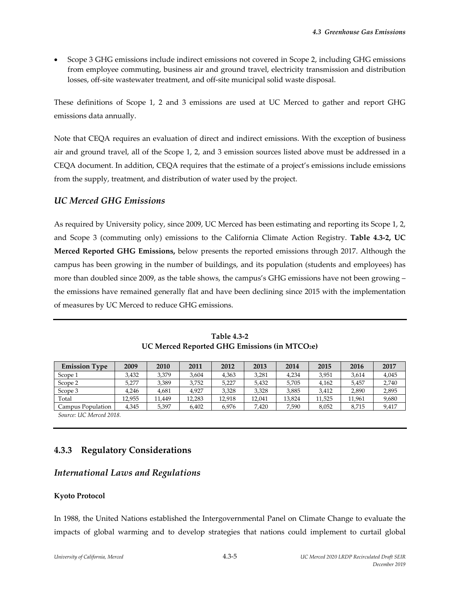Scope 3 GHG emissions include indirect emissions not covered in Scope 2, including GHG emissions from employee commuting, business air and ground travel, electricity transmission and distribution losses, off‐site wastewater treatment, and off‐site municipal solid waste disposal.

These definitions of Scope 1, 2 and 3 emissions are used at UC Merced to gather and report GHG emissions data annually.

Note that CEQA requires an evaluation of direct and indirect emissions. With the exception of business air and ground travel, all of the Scope 1, 2, and 3 emission sources listed above must be addressed in a CEQA document. In addition, CEQA requires that the estimate of a project's emissions include emissions from the supply, treatment, and distribution of water used by the project.

## *UC Merced GHG Emissions*

As required by University policy, since 2009, UC Merced has been estimating and reporting its Scope 1, 2, and Scope 3 (commuting only) emissions to the California Climate Action Registry. **Table 4.3‐2, UC Merced Reported GHG Emissions,** below presents the reported emissions through 2017. Although the campus has been growing in the number of buildings, and its population (students and employees) has more than doubled since 2009, as the table shows, the campus's GHG emissions have not been growing – the emissions have remained generally flat and have been declining since 2015 with the implementation of measures by UC Merced to reduce GHG emissions.

| <b>Emission Type</b> | 2009   | 2010   | 2011   | 2012   | 2013   | 2014   | 2015   | 2016   | 2017  |
|----------------------|--------|--------|--------|--------|--------|--------|--------|--------|-------|
| Scope 1              | 3.432  | 3,379  | 3,604  | 4,363  | 3,281  | 4.234  | 3,951  | 3,614  | 4,045 |
| Scope 2              | 5.277  | 3.389  | 3.752  | 5,227  | 5.432  | 5.705  | 4.162  | 5.457  | 2,740 |
| Scope 3              | 4.246  | 4,681  | 4.927  | 3,328  | 3,328  | 3,885  | 3.412  | 2,890  | 2,895 |
| Total                | 12.955 | 11.449 | 12,283 | 12.918 | 12,041 | 13.824 | 11,525 | 11,961 | 9,680 |
| Campus Population    | 4,345  | 5,397  | 6,402  | 6,976  | 7,420  | 7,590  | 8,052  | 8,715  | 9,417 |

**Table 4.3‐2 UC Merced Reported GHG Emissions (in MTCO2e)**

*Source: UC Merced 2018.*

# **4.3.3 Regulatory Considerations**

## *International Laws and Regulations*

## **Kyoto Protocol**

In 1988, the United Nations established the Intergovernmental Panel on Climate Change to evaluate the impacts of global warming and to develop strategies that nations could implement to curtail global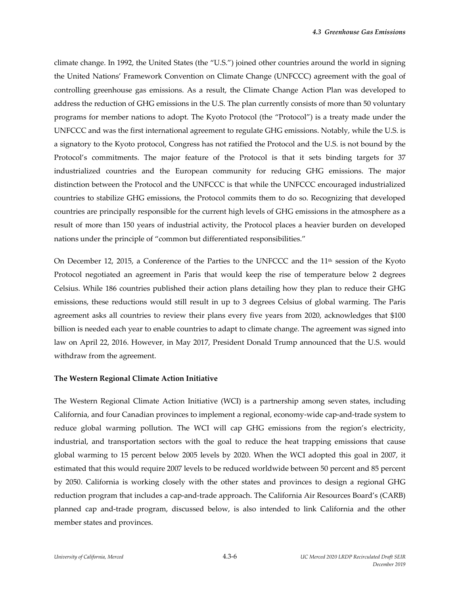climate change. In 1992, the United States (the "U.S.") joined other countries around the world in signing the United Nations' Framework Convention on Climate Change (UNFCCC) agreement with the goal of controlling greenhouse gas emissions. As a result, the Climate Change Action Plan was developed to address the reduction of GHG emissions in the U.S. The plan currently consists of more than 50 voluntary programs for member nations to adopt. The Kyoto Protocol (the "Protocol") is a treaty made under the UNFCCC and was the first international agreement to regulate GHG emissions. Notably, while the U.S. is a signatory to the Kyoto protocol, Congress has not ratified the Protocol and the U.S. is not bound by the Protocol's commitments. The major feature of the Protocol is that it sets binding targets for 37 industrialized countries and the European community for reducing GHG emissions. The major distinction between the Protocol and the UNFCCC is that while the UNFCCC encouraged industrialized countries to stabilize GHG emissions, the Protocol commits them to do so. Recognizing that developed countries are principally responsible for the current high levels of GHG emissions in the atmosphere as a result of more than 150 years of industrial activity, the Protocol places a heavier burden on developed nations under the principle of "common but differentiated responsibilities."

On December 12, 2015, a Conference of the Parties to the UNFCCC and the  $11<sup>th</sup>$  session of the Kyoto Protocol negotiated an agreement in Paris that would keep the rise of temperature below 2 degrees Celsius. While 186 countries published their action plans detailing how they plan to reduce their GHG emissions, these reductions would still result in up to 3 degrees Celsius of global warming. The Paris agreement asks all countries to review their plans every five years from 2020, acknowledges that \$100 billion is needed each year to enable countries to adapt to climate change. The agreement was signed into law on April 22, 2016. However, in May 2017, President Donald Trump announced that the U.S. would withdraw from the agreement.

#### **The Western Regional Climate Action Initiative**

The Western Regional Climate Action Initiative (WCI) is a partnership among seven states, including California, and four Canadian provinces to implement a regional, economy‐wide cap‐and‐trade system to reduce global warming pollution. The WCI will cap GHG emissions from the region's electricity, industrial, and transportation sectors with the goal to reduce the heat trapping emissions that cause global warming to 15 percent below 2005 levels by 2020. When the WCI adopted this goal in 2007, it estimated that this would require 2007 levels to be reduced worldwide between 50 percent and 85 percent by 2050. California is working closely with the other states and provinces to design a regional GHG reduction program that includes a cap‐and‐trade approach. The California Air Resources Board's (CARB) planned cap and‐trade program, discussed below, is also intended to link California and the other member states and provinces.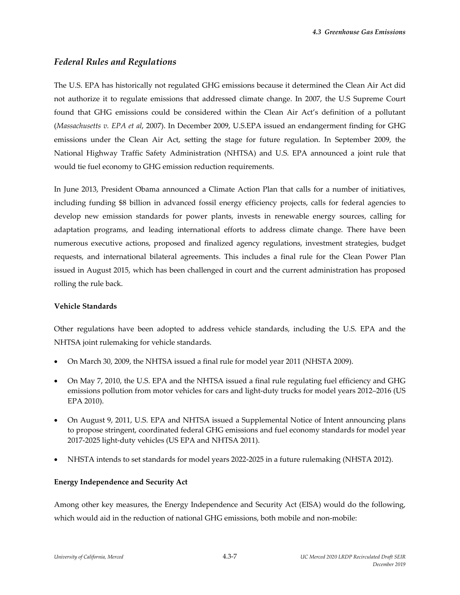# *Federal Rules and Regulations*

The U.S. EPA has historically not regulated GHG emissions because it determined the Clean Air Act did not authorize it to regulate emissions that addressed climate change. In 2007, the U.S Supreme Court found that GHG emissions could be considered within the Clean Air Act's definition of a pollutant (*Massachusetts v. EPA et al*, 2007). In December 2009, U.S.EPA issued an endangerment finding for GHG emissions under the Clean Air Act, setting the stage for future regulation. In September 2009, the National Highway Traffic Safety Administration (NHTSA) and U.S. EPA announced a joint rule that would tie fuel economy to GHG emission reduction requirements.

In June 2013, President Obama announced a Climate Action Plan that calls for a number of initiatives, including funding \$8 billion in advanced fossil energy efficiency projects, calls for federal agencies to develop new emission standards for power plants, invests in renewable energy sources, calling for adaptation programs, and leading international efforts to address climate change. There have been numerous executive actions, proposed and finalized agency regulations, investment strategies, budget requests, and international bilateral agreements. This includes a final rule for the Clean Power Plan issued in August 2015, which has been challenged in court and the current administration has proposed rolling the rule back.

## **Vehicle Standards**

Other regulations have been adopted to address vehicle standards, including the U.S. EPA and the NHTSA joint rulemaking for vehicle standards.

- On March 30, 2009, the NHTSA issued a final rule for model year 2011 (NHSTA 2009).
- On May 7, 2010, the U.S. EPA and the NHTSA issued a final rule regulating fuel efficiency and GHG emissions pollution from motor vehicles for cars and light-duty trucks for model years 2012–2016 (US EPA 2010).
- On August 9, 2011, U.S. EPA and NHTSA issued a Supplemental Notice of Intent announcing plans to propose stringent, coordinated federal GHG emissions and fuel economy standards for model year 2017‐2025 light‐duty vehicles (US EPA and NHTSA 2011).
- NHSTA intends to set standards for model years 2022‐2025 in a future rulemaking (NHSTA 2012).

## **Energy Independence and Security Act**

Among other key measures, the Energy Independence and Security Act (EISA) would do the following, which would aid in the reduction of national GHG emissions, both mobile and non-mobile: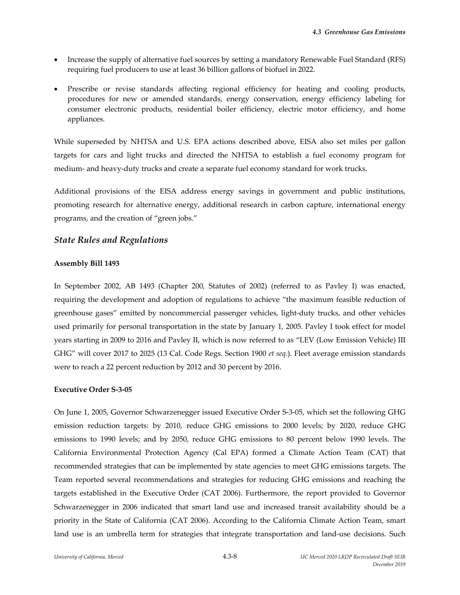- Increase the supply of alternative fuel sources by setting a mandatory Renewable Fuel Standard (RFS) requiring fuel producers to use at least 36 billion gallons of biofuel in 2022.
- Prescribe or revise standards affecting regional efficiency for heating and cooling products, procedures for new or amended standards, energy conservation, energy efficiency labeling for consumer electronic products, residential boiler efficiency, electric motor efficiency, and home appliances.

While superseded by NHTSA and U.S. EPA actions described above, EISA also set miles per gallon targets for cars and light trucks and directed the NHTSA to establish a fuel economy program for medium‐ and heavy‐duty trucks and create a separate fuel economy standard for work trucks.

Additional provisions of the EISA address energy savings in government and public institutions, promoting research for alternative energy, additional research in carbon capture, international energy programs, and the creation of "green jobs."

#### *State Rules and Regulations*

#### **Assembly Bill 1493**

In September 2002, AB 1493 (Chapter 200, Statutes of 2002) (referred to as Pavley I) was enacted, requiring the development and adoption of regulations to achieve "the maximum feasible reduction of greenhouse gases" emitted by noncommercial passenger vehicles, light‐duty trucks, and other vehicles used primarily for personal transportation in the state by January 1, 2005. Pavley I took effect for model years starting in 2009 to 2016 and Pavley II, which is now referred to as "LEV (Low Emission Vehicle) III GHG" will cover 2017 to 2025 (13 Cal. Code Regs. Section 1900 *et seq.*). Fleet average emission standards were to reach a 22 percent reduction by 2012 and 30 percent by 2016.

#### **Executive Order S‐3‐05**

On June 1, 2005, Governor Schwarzenegger issued Executive Order S‐3‐05, which set the following GHG emission reduction targets: by 2010, reduce GHG emissions to 2000 levels; by 2020, reduce GHG emissions to 1990 levels; and by 2050, reduce GHG emissions to 80 percent below 1990 levels. The California Environmental Protection Agency (Cal EPA) formed a Climate Action Team (CAT) that recommended strategies that can be implemented by state agencies to meet GHG emissions targets. The Team reported several recommendations and strategies for reducing GHG emissions and reaching the targets established in the Executive Order (CAT 2006). Furthermore, the report provided to Governor Schwarzenegger in 2006 indicated that smart land use and increased transit availability should be a priority in the State of California (CAT 2006). According to the California Climate Action Team, smart land use is an umbrella term for strategies that integrate transportation and land-use decisions. Such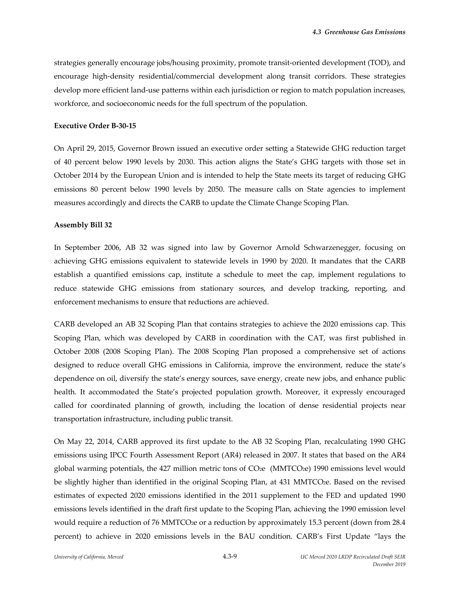strategies generally encourage jobs/housing proximity, promote transit-oriented development (TOD), and encourage high-density residential/commercial development along transit corridors. These strategies develop more efficient land-use patterns within each jurisdiction or region to match population increases, workforce, and socioeconomic needs for the full spectrum of the population.

#### **Executive Order B‐30‐15**

On April 29, 2015, Governor Brown issued an executive order setting a Statewide GHG reduction target of 40 percent below 1990 levels by 2030. This action aligns the State's GHG targets with those set in October 2014 by the European Union and is intended to help the State meets its target of reducing GHG emissions 80 percent below 1990 levels by 2050. The measure calls on State agencies to implement measures accordingly and directs the CARB to update the Climate Change Scoping Plan.

#### **Assembly Bill 32**

In September 2006, AB 32 was signed into law by Governor Arnold Schwarzenegger, focusing on achieving GHG emissions equivalent to statewide levels in 1990 by 2020. It mandates that the CARB establish a quantified emissions cap, institute a schedule to meet the cap, implement regulations to reduce statewide GHG emissions from stationary sources, and develop tracking, reporting, and enforcement mechanisms to ensure that reductions are achieved.

CARB developed an AB 32 Scoping Plan that contains strategies to achieve the 2020 emissions cap. This Scoping Plan, which was developed by CARB in coordination with the CAT, was first published in October 2008 (2008 Scoping Plan). The 2008 Scoping Plan proposed a comprehensive set of actions designed to reduce overall GHG emissions in California, improve the environment, reduce the state's dependence on oil, diversify the state's energy sources, save energy, create new jobs, and enhance public health. It accommodated the State's projected population growth. Moreover, it expressly encouraged called for coordinated planning of growth, including the location of dense residential projects near transportation infrastructure, including public transit.

On May 22, 2014, CARB approved its first update to the AB 32 Scoping Plan, recalculating 1990 GHG emissions using IPCC Fourth Assessment Report (AR4) released in 2007. It states that based on the AR4 global warming potentials, the 427 million metric tons of CO2e (MMTCO2e) 1990 emissions level would be slightly higher than identified in the original Scoping Plan, at 431 MMTCO<sub>2</sub>e. Based on the revised estimates of expected 2020 emissions identified in the 2011 supplement to the FED and updated 1990 emissions levels identified in the draft first update to the Scoping Plan, achieving the 1990 emission level would require a reduction of 76 MMTCO<sub>2</sub>e or a reduction by approximately 15.3 percent (down from 28.4 percent) to achieve in 2020 emissions levels in the BAU condition. CARB's First Update "lays the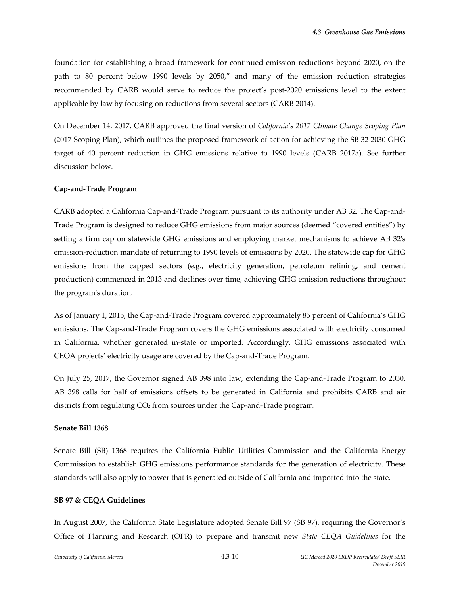foundation for establishing a broad framework for continued emission reductions beyond 2020, on the path to 80 percent below 1990 levels by 2050," and many of the emission reduction strategies recommended by CARB would serve to reduce the project's post‐2020 emissions level to the extent applicable by law by focusing on reductions from several sectors (CARB 2014).

On December 14, 2017, CARB approved the final version of *California's 2017 Climate Change Scoping Plan* (2017 Scoping Plan), which outlines the proposed framework of action for achieving the SB 32 2030 GHG target of 40 percent reduction in GHG emissions relative to 1990 levels (CARB 2017a). See further discussion below.

#### **Cap‐and‐Trade Program**

CARB adopted a California Cap‐and‐Trade Program pursuant to its authority under AB 32. The Cap‐and‐ Trade Program is designed to reduce GHG emissions from major sources (deemed "covered entities") by setting a firm cap on statewide GHG emissions and employing market mechanisms to achieve AB 32ʹs emission-reduction mandate of returning to 1990 levels of emissions by 2020. The statewide cap for GHG emissions from the capped sectors (e.g., electricity generation, petroleum refining, and cement production) commenced in 2013 and declines over time, achieving GHG emission reductions throughout the programʹs duration.

As of January 1, 2015, the Cap‐and‐Trade Program covered approximately 85 percent of California's GHG emissions. The Cap‐and‐Trade Program covers the GHG emissions associated with electricity consumed in California, whether generated in‐state or imported. Accordingly, GHG emissions associated with CEQA projects' electricity usage are covered by the Cap‐and‐Trade Program.

On July 25, 2017, the Governor signed AB 398 into law, extending the Cap‐and‐Trade Program to 2030. AB 398 calls for half of emissions offsets to be generated in California and prohibits CARB and air districts from regulating CO<sub>2</sub> from sources under the Cap-and-Trade program.

#### **Senate Bill 1368**

Senate Bill (SB) 1368 requires the California Public Utilities Commission and the California Energy Commission to establish GHG emissions performance standards for the generation of electricity. These standards will also apply to power that is generated outside of California and imported into the state.

#### **SB 97 & CEQA Guidelines**

In August 2007, the California State Legislature adopted Senate Bill 97 (SB 97), requiring the Governor's Office of Planning and Research (OPR) to prepare and transmit new *State CEQA Guidelines* for the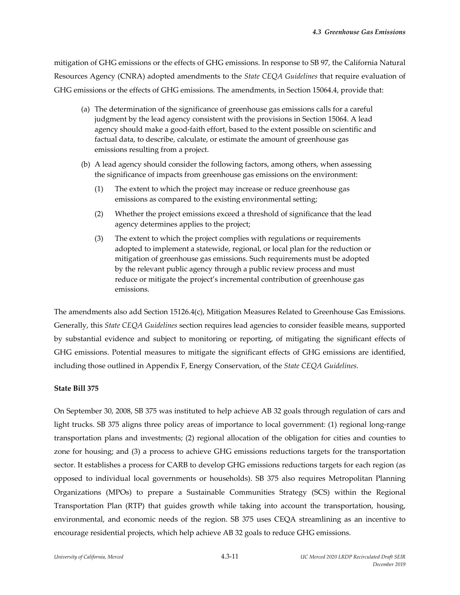mitigation of GHG emissions or the effects of GHG emissions. In response to SB 97, the California Natural Resources Agency (CNRA) adopted amendments to the *State CEQA Guidelines* that require evaluation of GHG emissions or the effects of GHG emissions. The amendments, in Section 15064.4, provide that:

- (a) The determination of the significance of greenhouse gas emissions calls for a careful judgment by the lead agency consistent with the provisions in Section 15064. A lead agency should make a good‐faith effort, based to the extent possible on scientific and factual data, to describe, calculate, or estimate the amount of greenhouse gas emissions resulting from a project.
- (b) A lead agency should consider the following factors, among others, when assessing the significance of impacts from greenhouse gas emissions on the environment:
	- (1) The extent to which the project may increase or reduce greenhouse gas emissions as compared to the existing environmental setting;
	- (2) Whether the project emissions exceed a threshold of significance that the lead agency determines applies to the project;
	- (3) The extent to which the project complies with regulations or requirements adopted to implement a statewide, regional, or local plan for the reduction or mitigation of greenhouse gas emissions. Such requirements must be adopted by the relevant public agency through a public review process and must reduce or mitigate the project's incremental contribution of greenhouse gas emissions.

The amendments also add Section 15126.4(c), Mitigation Measures Related to Greenhouse Gas Emissions. Generally, this *State CEQA Guidelines* section requires lead agencies to consider feasible means, supported by substantial evidence and subject to monitoring or reporting, of mitigating the significant effects of GHG emissions. Potential measures to mitigate the significant effects of GHG emissions are identified, including those outlined in Appendix F, Energy Conservation, of the *State CEQA Guidelines*.

## **State Bill 375**

On September 30, 2008, SB 375 was instituted to help achieve AB 32 goals through regulation of cars and light trucks. SB 375 aligns three policy areas of importance to local government: (1) regional long-range transportation plans and investments; (2) regional allocation of the obligation for cities and counties to zone for housing; and (3) a process to achieve GHG emissions reductions targets for the transportation sector. It establishes a process for CARB to develop GHG emissions reductions targets for each region (as opposed to individual local governments or households). SB 375 also requires Metropolitan Planning Organizations (MPOs) to prepare a Sustainable Communities Strategy (SCS) within the Regional Transportation Plan (RTP) that guides growth while taking into account the transportation, housing, environmental, and economic needs of the region. SB 375 uses CEQA streamlining as an incentive to encourage residential projects, which help achieve AB 32 goals to reduce GHG emissions.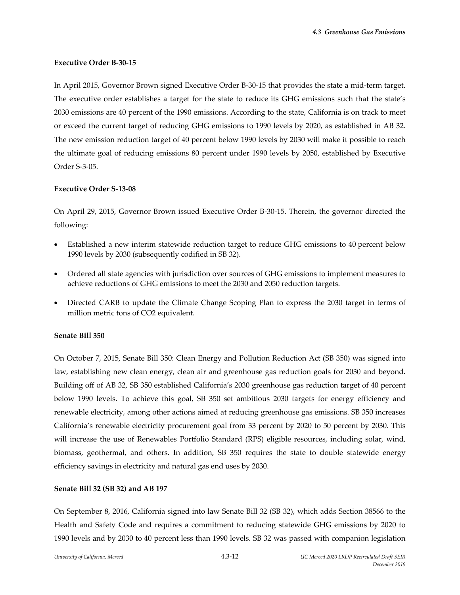#### **Executive Order B‐30‐15**

In April 2015, Governor Brown signed Executive Order B‐30‐15 that provides the state a mid‐term target. The executive order establishes a target for the state to reduce its GHG emissions such that the state's 2030 emissions are 40 percent of the 1990 emissions. According to the state, California is on track to meet or exceed the current target of reducing GHG emissions to 1990 levels by 2020, as established in AB 32. The new emission reduction target of 40 percent below 1990 levels by 2030 will make it possible to reach the ultimate goal of reducing emissions 80 percent under 1990 levels by 2050, established by Executive Order S‐3‐05.

#### **Executive Order S‐13‐08**

On April 29, 2015, Governor Brown issued Executive Order B‐30‐15. Therein, the governor directed the following:

- Established a new interim statewide reduction target to reduce GHG emissions to 40 percent below 1990 levels by 2030 (subsequently codified in SB 32).
- Ordered all state agencies with jurisdiction over sources of GHG emissions to implement measures to achieve reductions of GHG emissions to meet the 2030 and 2050 reduction targets.
- Directed CARB to update the Climate Change Scoping Plan to express the 2030 target in terms of million metric tons of CO2 equivalent.

#### **Senate Bill 350**

On October 7, 2015, Senate Bill 350: Clean Energy and Pollution Reduction Act (SB 350) was signed into law, establishing new clean energy, clean air and greenhouse gas reduction goals for 2030 and beyond. Building off of AB 32, SB 350 established California's 2030 greenhouse gas reduction target of 40 percent below 1990 levels. To achieve this goal, SB 350 set ambitious 2030 targets for energy efficiency and renewable electricity, among other actions aimed at reducing greenhouse gas emissions. SB 350 increases California's renewable electricity procurement goal from 33 percent by 2020 to 50 percent by 2030. This will increase the use of Renewables Portfolio Standard (RPS) eligible resources, including solar, wind, biomass, geothermal, and others. In addition, SB 350 requires the state to double statewide energy efficiency savings in electricity and natural gas end uses by 2030.

#### **Senate Bill 32 (SB 32) and AB 197**

On September 8, 2016, California signed into law Senate Bill 32 (SB 32), which adds Section 38566 to the Health and Safety Code and requires a commitment to reducing statewide GHG emissions by 2020 to 1990 levels and by 2030 to 40 percent less than 1990 levels. SB 32 was passed with companion legislation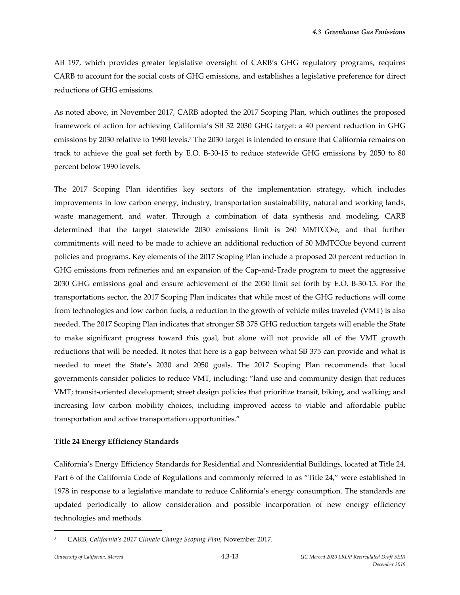AB 197, which provides greater legislative oversight of CARB's GHG regulatory programs, requires CARB to account for the social costs of GHG emissions, and establishes a legislative preference for direct reductions of GHG emissions.

As noted above, in November 2017, CARB adopted the 2017 Scoping Plan, which outlines the proposed framework of action for achieving California's SB 32 2030 GHG target: a 40 percent reduction in GHG emissions by 2030 relative to 1990 levels.3 The 2030 target is intended to ensure that California remains on track to achieve the goal set forth by E.O. B‐30‐15 to reduce statewide GHG emissions by 2050 to 80 percent below 1990 levels.

The 2017 Scoping Plan identifies key sectors of the implementation strategy, which includes improvements in low carbon energy, industry, transportation sustainability, natural and working lands, waste management, and water. Through a combination of data synthesis and modeling, CARB determined that the target statewide 2030 emissions limit is 260 MMTCO<sub>2</sub>e, and that further commitments will need to be made to achieve an additional reduction of 50 MMTCO2e beyond current policies and programs. Key elements of the 2017 Scoping Plan include a proposed 20 percent reduction in GHG emissions from refineries and an expansion of the Cap-and-Trade program to meet the aggressive 2030 GHG emissions goal and ensure achievement of the 2050 limit set forth by E.O. B‐30‐15. For the transportations sector, the 2017 Scoping Plan indicates that while most of the GHG reductions will come from technologies and low carbon fuels, a reduction in the growth of vehicle miles traveled (VMT) is also needed. The 2017 Scoping Plan indicates that stronger SB 375 GHG reduction targets will enable the State to make significant progress toward this goal, but alone will not provide all of the VMT growth reductions that will be needed. It notes that here is a gap between what SB 375 can provide and what is needed to meet the State's 2030 and 2050 goals. The 2017 Scoping Plan recommends that local governments consider policies to reduce VMT, including: "land use and community design that reduces VMT; transit‐oriented development; street design policies that prioritize transit, biking, and walking; and increasing low carbon mobility choices, including improved access to viable and affordable public transportation and active transportation opportunities."

#### **Title 24 Energy Efficiency Standards**

California's Energy Efficiency Standards for Residential and Nonresidential Buildings, located at Title 24, Part 6 of the California Code of Regulations and commonly referred to as "Title 24," were established in 1978 in response to a legislative mandate to reduce California's energy consumption. The standards are updated periodically to allow consideration and possible incorporation of new energy efficiency technologies and methods.

<sup>3</sup> CARB, *California's 2017 Climate Change Scoping Plan*, November 2017.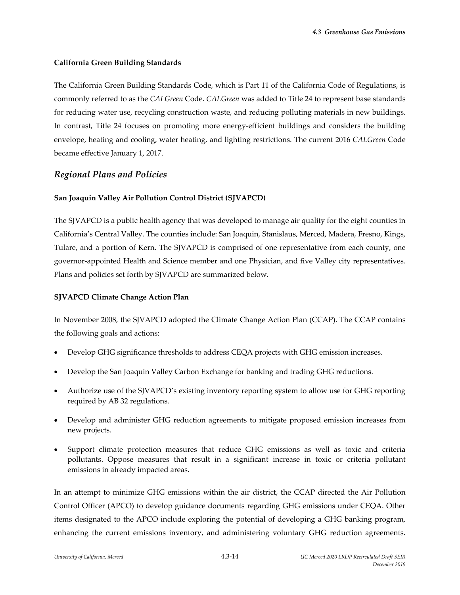## **California Green Building Standards**

The California Green Building Standards Code, which is Part 11 of the California Code of Regulations, is commonly referred to as the *CALGreen* Code. *CALGreen* was added to Title 24 to represent base standards for reducing water use, recycling construction waste, and reducing polluting materials in new buildings. In contrast, Title 24 focuses on promoting more energy-efficient buildings and considers the building envelope, heating and cooling, water heating, and lighting restrictions. The current 2016 *CALGreen* Code became effective January 1, 2017.

## *Regional Plans and Policies*

### **San Joaquin Valley Air Pollution Control District (SJVAPCD)**

The SJVAPCD is a public health agency that was developed to manage air quality for the eight counties in California's Central Valley. The counties include: San Joaquin, Stanislaus, Merced, Madera, Fresno, Kings, Tulare, and a portion of Kern. The SJVAPCD is comprised of one representative from each county, one governor‐appointed Health and Science member and one Physician, and five Valley city representatives. Plans and policies set forth by SJVAPCD are summarized below.

### **SJVAPCD Climate Change Action Plan**

In November 2008, the SJVAPCD adopted the Climate Change Action Plan (CCAP). The CCAP contains the following goals and actions:

- Develop GHG significance thresholds to address CEQA projects with GHG emission increases.
- Develop the San Joaquin Valley Carbon Exchange for banking and trading GHG reductions.
- Authorize use of the SJVAPCD's existing inventory reporting system to allow use for GHG reporting required by AB 32 regulations.
- Develop and administer GHG reduction agreements to mitigate proposed emission increases from new projects.
- Support climate protection measures that reduce GHG emissions as well as toxic and criteria pollutants. Oppose measures that result in a significant increase in toxic or criteria pollutant emissions in already impacted areas.

In an attempt to minimize GHG emissions within the air district, the CCAP directed the Air Pollution Control Officer (APCO) to develop guidance documents regarding GHG emissions under CEQA. Other items designated to the APCO include exploring the potential of developing a GHG banking program, enhancing the current emissions inventory, and administering voluntary GHG reduction agreements.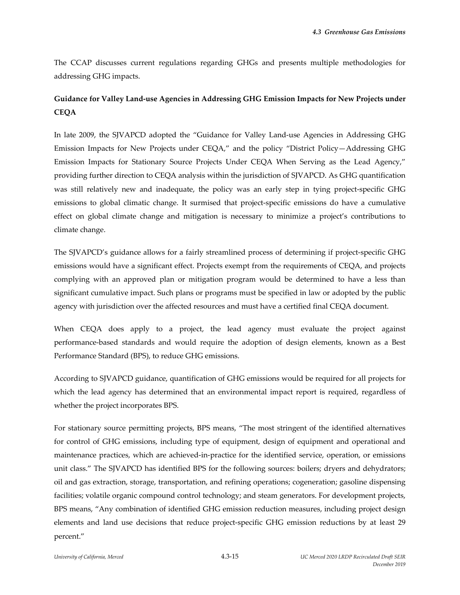The CCAP discusses current regulations regarding GHGs and presents multiple methodologies for addressing GHG impacts.

# **Guidance for Valley Land‐use Agencies in Addressing GHG Emission Impacts for New Projects under CEQA**

In late 2009, the SJVAPCD adopted the "Guidance for Valley Land‐use Agencies in Addressing GHG Emission Impacts for New Projects under CEQA," and the policy "District Policy—Addressing GHG Emission Impacts for Stationary Source Projects Under CEQA When Serving as the Lead Agency," providing further direction to CEQA analysis within the jurisdiction of SJVAPCD. As GHG quantification was still relatively new and inadequate, the policy was an early step in tying project-specific GHG emissions to global climatic change. It surmised that project-specific emissions do have a cumulative effect on global climate change and mitigation is necessary to minimize a project's contributions to climate change.

The SJVAPCD's guidance allows for a fairly streamlined process of determining if project-specific GHG emissions would have a significant effect. Projects exempt from the requirements of CEQA, and projects complying with an approved plan or mitigation program would be determined to have a less than significant cumulative impact. Such plans or programs must be specified in law or adopted by the public agency with jurisdiction over the affected resources and must have a certified final CEQA document.

When CEQA does apply to a project, the lead agency must evaluate the project against performance‐based standards and would require the adoption of design elements, known as a Best Performance Standard (BPS), to reduce GHG emissions.

According to SJVAPCD guidance, quantification of GHG emissions would be required for all projects for which the lead agency has determined that an environmental impact report is required, regardless of whether the project incorporates BPS.

For stationary source permitting projects, BPS means, "The most stringent of the identified alternatives for control of GHG emissions, including type of equipment, design of equipment and operational and maintenance practices, which are achieved-in-practice for the identified service, operation, or emissions unit class." The SJVAPCD has identified BPS for the following sources: boilers; dryers and dehydrators; oil and gas extraction, storage, transportation, and refining operations; cogeneration; gasoline dispensing facilities; volatile organic compound control technology; and steam generators. For development projects, BPS means, "Any combination of identified GHG emission reduction measures, including project design elements and land use decisions that reduce project-specific GHG emission reductions by at least 29 percent."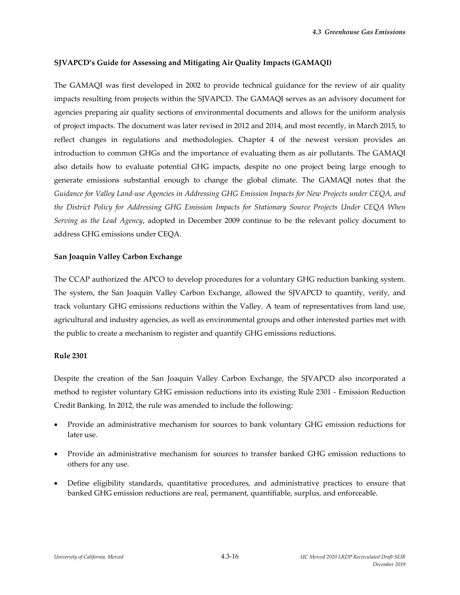### **SJVAPCD's Guide for Assessing and Mitigating Air Quality Impacts (GAMAQI)**

The GAMAQI was first developed in 2002 to provide technical guidance for the review of air quality impacts resulting from projects within the SJVAPCD. The GAMAQI serves as an advisory document for agencies preparing air quality sections of environmental documents and allows for the uniform analysis of project impacts. The document was later revised in 2012 and 2014, and most recently, in March 2015, to reflect changes in regulations and methodologies. Chapter 4 of the newest version provides an introduction to common GHGs and the importance of evaluating them as air pollutants. The GAMAQI also details how to evaluate potential GHG impacts, despite no one project being large enough to generate emissions substantial enough to change the global climate. The GAMAQI notes that the Guidance for Valley Land-use Agencies in Addressing GHG Emission Impacts for New Projects under CEQA, and *the District Policy for Addressing GHG Emission Impacts for Stationary Source Projects Under CEQA When Serving as the Lead Agency*, adopted in December 2009 continue to be the relevant policy document to address GHG emissions under CEQA.

### **San Joaquin Valley Carbon Exchange**

The CCAP authorized the APCO to develop procedures for a voluntary GHG reduction banking system. The system, the San Joaquin Valley Carbon Exchange, allowed the SJVAPCD to quantify, verify, and track voluntary GHG emissions reductions within the Valley. A team of representatives from land use, agricultural and industry agencies, as well as environmental groups and other interested parties met with the public to create a mechanism to register and quantify GHG emissions reductions.

#### **Rule 2301**

Despite the creation of the San Joaquin Valley Carbon Exchange, the SJVAPCD also incorporated a method to register voluntary GHG emission reductions into its existing Rule 2301 ‐ Emission Reduction Credit Banking. In 2012, the rule was amended to include the following:

- Provide an administrative mechanism for sources to bank voluntary GHG emission reductions for later use.
- Provide an administrative mechanism for sources to transfer banked GHG emission reductions to others for any use.
- Define eligibility standards, quantitative procedures, and administrative practices to ensure that banked GHG emission reductions are real, permanent, quantifiable, surplus, and enforceable.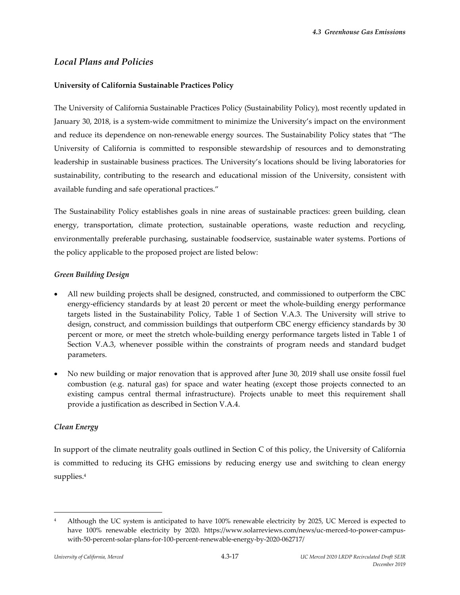# *Local Plans and Policies*

## **University of California Sustainable Practices Policy**

The University of California Sustainable Practices Policy (Sustainability Policy), most recently updated in January 30, 2018, is a system‐wide commitment to minimize the University's impact on the environment and reduce its dependence on non-renewable energy sources. The Sustainability Policy states that "The University of California is committed to responsible stewardship of resources and to demonstrating leadership in sustainable business practices. The University's locations should be living laboratories for sustainability, contributing to the research and educational mission of the University, consistent with available funding and safe operational practices."

The Sustainability Policy establishes goals in nine areas of sustainable practices: green building, clean energy, transportation, climate protection, sustainable operations, waste reduction and recycling, environmentally preferable purchasing, sustainable foodservice, sustainable water systems. Portions of the policy applicable to the proposed project are listed below:

## *Green Building Design*

- All new building projects shall be designed, constructed, and commissioned to outperform the CBC energy-efficiency standards by at least 20 percent or meet the whole-building energy performance targets listed in the Sustainability Policy, Table 1 of Section V.A.3. The University will strive to design, construct, and commission buildings that outperform CBC energy efficiency standards by 30 percent or more, or meet the stretch whole-building energy performance targets listed in Table 1 of Section V.A.3, whenever possible within the constraints of program needs and standard budget parameters.
- No new building or major renovation that is approved after June 30, 2019 shall use onsite fossil fuel combustion (e.g. natural gas) for space and water heating (except those projects connected to an existing campus central thermal infrastructure). Projects unable to meet this requirement shall provide a justification as described in Section V.A.4.

## *Clean Energy*

In support of the climate neutrality goals outlined in Section C of this policy, the University of California is committed to reducing its GHG emissions by reducing energy use and switching to clean energy supplies.4

<sup>&</sup>lt;sup>4</sup> Although the UC system is anticipated to have 100% renewable electricity by 2025, UC Merced is expected to have 100% renewable electricity by 2020. https://www.solarreviews.com/news/uc-merced-to-power-campuswith-50-percent-solar-plans-for-100-percent-renewable-energy-by-2020-062717/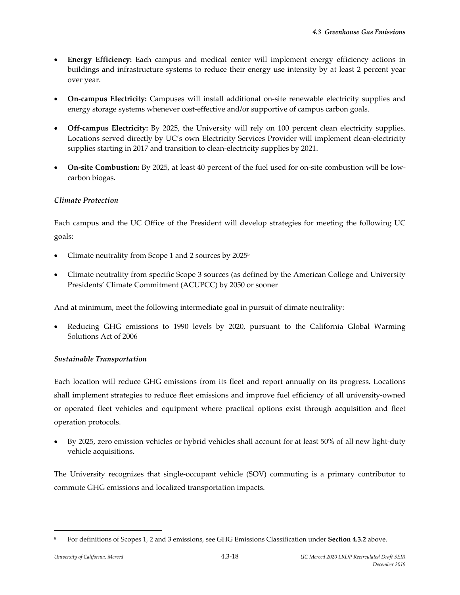- **Energy Efficiency:** Each campus and medical center will implement energy efficiency actions in buildings and infrastructure systems to reduce their energy use intensity by at least 2 percent year over year.
- **On‐campus Electricity:** Campuses will install additional on‐site renewable electricity supplies and energy storage systems whenever cost-effective and/or supportive of campus carbon goals.
- **Off‐campus Electricity:** By 2025, the University will rely on 100 percent clean electricity supplies. Locations served directly by UC's own Electricity Services Provider will implement clean‐electricity supplies starting in 2017 and transition to clean-electricity supplies by 2021.
- **On-site Combustion:** By 2025, at least 40 percent of the fuel used for on-site combustion will be lowcarbon biogas.

## *Climate Protection*

Each campus and the UC Office of the President will develop strategies for meeting the following UC goals:

- Climate neutrality from Scope 1 and 2 sources by 20255
- Climate neutrality from specific Scope 3 sources (as defined by the American College and University Presidents' Climate Commitment (ACUPCC) by 2050 or sooner

And at minimum, meet the following intermediate goal in pursuit of climate neutrality:

 Reducing GHG emissions to 1990 levels by 2020, pursuant to the California Global Warming Solutions Act of 2006

## *Sustainable Transportation*

Each location will reduce GHG emissions from its fleet and report annually on its progress. Locations shall implement strategies to reduce fleet emissions and improve fuel efficiency of all university-owned or operated fleet vehicles and equipment where practical options exist through acquisition and fleet operation protocols.

 By 2025, zero emission vehicles or hybrid vehicles shall account for at least 50% of all new light‐duty vehicle acquisitions.

The University recognizes that single‐occupant vehicle (SOV) commuting is a primary contributor to commute GHG emissions and localized transportation impacts.

<sup>5</sup> For definitions of Scopes 1, 2 and 3 emissions, see GHG Emissions Classification under **Section 4.3.2** above.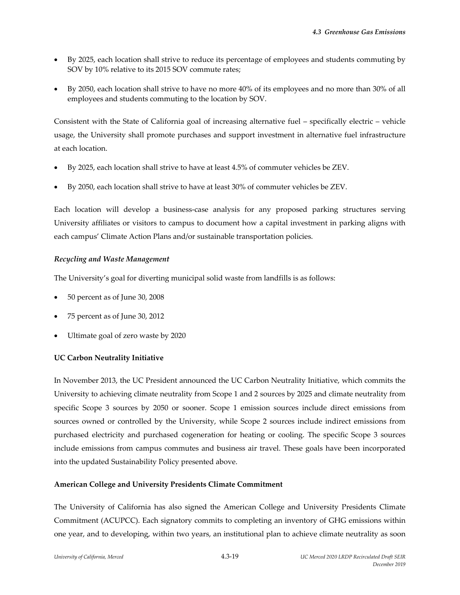- By 2025, each location shall strive to reduce its percentage of employees and students commuting by SOV by 10% relative to its 2015 SOV commute rates;
- By 2050, each location shall strive to have no more 40% of its employees and no more than 30% of all employees and students commuting to the location by SOV.

Consistent with the State of California goal of increasing alternative fuel – specifically electric – vehicle usage, the University shall promote purchases and support investment in alternative fuel infrastructure at each location.

- By 2025, each location shall strive to have at least 4.5% of commuter vehicles be ZEV.
- By 2050, each location shall strive to have at least 30% of commuter vehicles be ZEV.

Each location will develop a business‐case analysis for any proposed parking structures serving University affiliates or visitors to campus to document how a capital investment in parking aligns with each campus' Climate Action Plans and/or sustainable transportation policies.

## *Recycling and Waste Management*

The University's goal for diverting municipal solid waste from landfills is as follows:

- 50 percent as of June 30, 2008
- 75 percent as of June 30, 2012
- Ultimate goal of zero waste by 2020

## **UC Carbon Neutrality Initiative**

In November 2013, the UC President announced the UC Carbon Neutrality Initiative, which commits the University to achieving climate neutrality from Scope 1 and 2 sources by 2025 and climate neutrality from specific Scope 3 sources by 2050 or sooner. Scope 1 emission sources include direct emissions from sources owned or controlled by the University, while Scope 2 sources include indirect emissions from purchased electricity and purchased cogeneration for heating or cooling. The specific Scope 3 sources include emissions from campus commutes and business air travel. These goals have been incorporated into the updated Sustainability Policy presented above.

#### **American College and University Presidents Climate Commitment**

The University of California has also signed the American College and University Presidents Climate Commitment (ACUPCC). Each signatory commits to completing an inventory of GHG emissions within one year, and to developing, within two years, an institutional plan to achieve climate neutrality as soon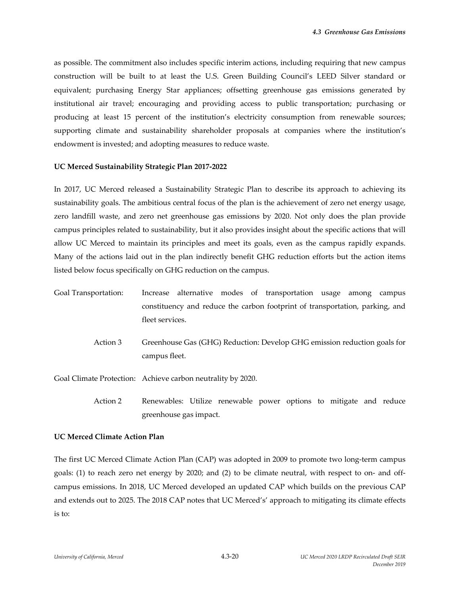as possible. The commitment also includes specific interim actions, including requiring that new campus construction will be built to at least the U.S. Green Building Council's LEED Silver standard or equivalent; purchasing Energy Star appliances; offsetting greenhouse gas emissions generated by institutional air travel; encouraging and providing access to public transportation; purchasing or producing at least 15 percent of the institution's electricity consumption from renewable sources; supporting climate and sustainability shareholder proposals at companies where the institution's endowment is invested; and adopting measures to reduce waste.

#### **UC Merced Sustainability Strategic Plan 2017‐2022**

In 2017, UC Merced released a Sustainability Strategic Plan to describe its approach to achieving its sustainability goals. The ambitious central focus of the plan is the achievement of zero net energy usage, zero landfill waste, and zero net greenhouse gas emissions by 2020. Not only does the plan provide campus principles related to sustainability, but it also provides insight about the specific actions that will allow UC Merced to maintain its principles and meet its goals, even as the campus rapidly expands. Many of the actions laid out in the plan indirectly benefit GHG reduction efforts but the action items listed below focus specifically on GHG reduction on the campus.

- Goal Transportation: Increase alternative modes of transportation usage among campus constituency and reduce the carbon footprint of transportation, parking, and fleet services.
	- Action 3 Greenhouse Gas (GHG) Reduction: Develop GHG emission reduction goals for campus fleet.

Goal Climate Protection: Achieve carbon neutrality by 2020.

Action 2 Renewables: Utilize renewable power options to mitigate and reduce greenhouse gas impact.

#### **UC Merced Climate Action Plan**

The first UC Merced Climate Action Plan (CAP) was adopted in 2009 to promote two long-term campus goals: (1) to reach zero net energy by 2020; and (2) to be climate neutral, with respect to on‐ and off‐ campus emissions. In 2018, UC Merced developed an updated CAP which builds on the previous CAP and extends out to 2025. The 2018 CAP notes that UC Merced's' approach to mitigating its climate effects is to: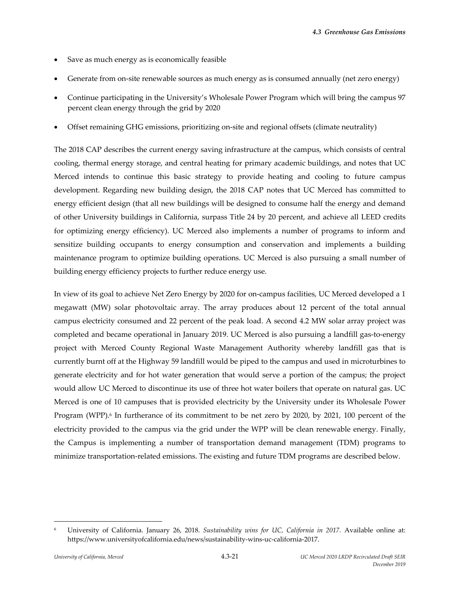- Save as much energy as is economically feasible
- Generate from on-site renewable sources as much energy as is consumed annually (net zero energy)
- Continue participating in the University's Wholesale Power Program which will bring the campus 97 percent clean energy through the grid by 2020
- Offset remaining GHG emissions, prioritizing on‐site and regional offsets (climate neutrality)

The 2018 CAP describes the current energy saving infrastructure at the campus, which consists of central cooling, thermal energy storage, and central heating for primary academic buildings, and notes that UC Merced intends to continue this basic strategy to provide heating and cooling to future campus development. Regarding new building design, the 2018 CAP notes that UC Merced has committed to energy efficient design (that all new buildings will be designed to consume half the energy and demand of other University buildings in California, surpass Title 24 by 20 percent, and achieve all LEED credits for optimizing energy efficiency). UC Merced also implements a number of programs to inform and sensitize building occupants to energy consumption and conservation and implements a building maintenance program to optimize building operations. UC Merced is also pursuing a small number of building energy efficiency projects to further reduce energy use.

In view of its goal to achieve Net Zero Energy by 2020 for on-campus facilities, UC Merced developed a 1 megawatt (MW) solar photovoltaic array. The array produces about 12 percent of the total annual campus electricity consumed and 22 percent of the peak load. A second 4.2 MW solar array project was completed and became operational in January 2019. UC Merced is also pursuing a landfill gas‐to‐energy project with Merced County Regional Waste Management Authority whereby landfill gas that is currently burnt off at the Highway 59 landfill would be piped to the campus and used in microturbines to generate electricity and for hot water generation that would serve a portion of the campus; the project would allow UC Merced to discontinue its use of three hot water boilers that operate on natural gas. UC Merced is one of 10 campuses that is provided electricity by the University under its Wholesale Power Program (WPP).<sup>6</sup> In furtherance of its commitment to be net zero by 2020, by 2021, 100 percent of the electricity provided to the campus via the grid under the WPP will be clean renewable energy. Finally, the Campus is implementing a number of transportation demand management (TDM) programs to minimize transportation‐related emissions. The existing and future TDM programs are described below.

<sup>6</sup> University of California. January 26, 2018. *Sustainability wins for UC, California in 2017.* Available online at: https://www.universityofcalifornia.edu/news/sustainability‐wins‐uc‐california‐2017.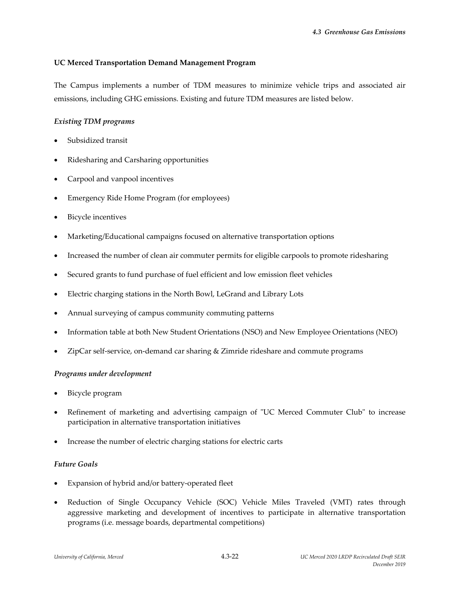### **UC Merced Transportation Demand Management Program**

The Campus implements a number of TDM measures to minimize vehicle trips and associated air emissions, including GHG emissions. Existing and future TDM measures are listed below.

## *Existing TDM programs*

- Subsidized transit
- Ridesharing and Carsharing opportunities
- Carpool and vanpool incentives
- Emergency Ride Home Program (for employees)
- Bicycle incentives
- Marketing/Educational campaigns focused on alternative transportation options
- Increased the number of clean air commuter permits for eligible carpools to promote ridesharing
- Secured grants to fund purchase of fuel efficient and low emission fleet vehicles
- Electric charging stations in the North Bowl, LeGrand and Library Lots
- Annual surveying of campus community commuting patterns
- Information table at both New Student Orientations (NSO) and New Employee Orientations (NEO)
- ZipCar self-service, on-demand car sharing & Zimride rideshare and commute programs

## *Programs under development*

- Bicycle program
- Refinement of marketing and advertising campaign of "UC Merced Commuter Club" to increase participation in alternative transportation initiatives
- Increase the number of electric charging stations for electric carts

## *Future Goals*

- Expansion of hybrid and/or battery‐operated fleet
- Reduction of Single Occupancy Vehicle (SOC) Vehicle Miles Traveled (VMT) rates through aggressive marketing and development of incentives to participate in alternative transportation programs (i.e. message boards, departmental competitions)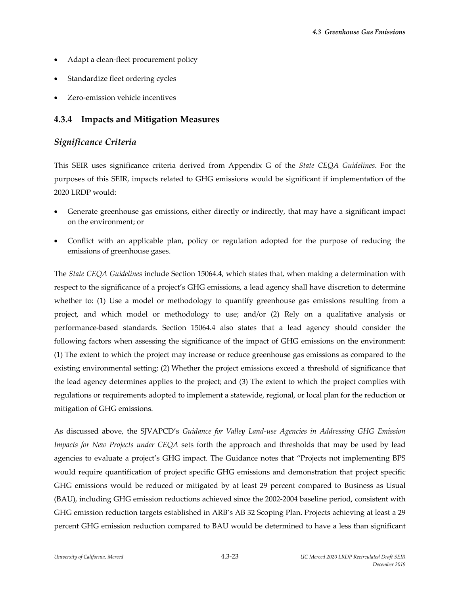- Adapt a clean‐fleet procurement policy
- Standardize fleet ordering cycles
- Zero‐emission vehicle incentives

# **4.3.4 Impacts and Mitigation Measures**

# *Significance Criteria*

This SEIR uses significance criteria derived from Appendix G of the *State CEQA Guidelines*. For the purposes of this SEIR, impacts related to GHG emissions would be significant if implementation of the 2020 LRDP would:

- Generate greenhouse gas emissions, either directly or indirectly, that may have a significant impact on the environment; or
- Conflict with an applicable plan, policy or regulation adopted for the purpose of reducing the emissions of greenhouse gases.

The *State CEQA Guidelines* include Section 15064.4, which states that, when making a determination with respect to the significance of a project's GHG emissions, a lead agency shall have discretion to determine whether to: (1) Use a model or methodology to quantify greenhouse gas emissions resulting from a project, and which model or methodology to use; and/or (2) Rely on a qualitative analysis or performance‐based standards. Section 15064.4 also states that a lead agency should consider the following factors when assessing the significance of the impact of GHG emissions on the environment: (1) The extent to which the project may increase or reduce greenhouse gas emissions as compared to the existing environmental setting; (2) Whether the project emissions exceed a threshold of significance that the lead agency determines applies to the project; and (3) The extent to which the project complies with regulations or requirements adopted to implement a statewide, regional, or local plan for the reduction or mitigation of GHG emissions.

As discussed above, the SJVAPCD's *Guidance for Valley Land‐use Agencies in Addressing GHG Emission Impacts for New Projects under CEQA* sets forth the approach and thresholds that may be used by lead agencies to evaluate a project's GHG impact. The Guidance notes that "Projects not implementing BPS would require quantification of project specific GHG emissions and demonstration that project specific GHG emissions would be reduced or mitigated by at least 29 percent compared to Business as Usual (BAU), including GHG emission reductions achieved since the 2002‐2004 baseline period, consistent with GHG emission reduction targets established in ARB's AB 32 Scoping Plan. Projects achieving at least a 29 percent GHG emission reduction compared to BAU would be determined to have a less than significant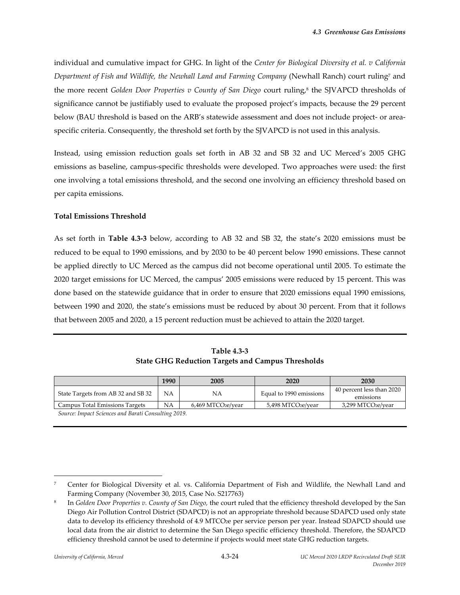individual and cumulative impact for GHG. In light of the *Center for Biological Diversity et al. v California Department of Fish and Wildlife, the Newhall Land and Farming Company* (Newhall Ranch) court ruling7 and the more recent *Golden Door Properties v County of San Diego* court ruling,8 the SJVAPCD thresholds of significance cannot be justifiably used to evaluate the proposed project's impacts, because the 29 percent below (BAU threshold is based on the ARB's statewide assessment and does not include project- or areaspecific criteria. Consequently, the threshold set forth by the SJVAPCD is not used in this analysis.

Instead, using emission reduction goals set forth in AB 32 and SB 32 and UC Merced's 2005 GHG emissions as baseline, campus‐specific thresholds were developed. Two approaches were used: the first one involving a total emissions threshold, and the second one involving an efficiency threshold based on per capita emissions.

### **Total Emissions Threshold**

As set forth in **Table 4.3‐3** below, according to AB 32 and SB 32, the state's 2020 emissions must be reduced to be equal to 1990 emissions, and by 2030 to be 40 percent below 1990 emissions. These cannot be applied directly to UC Merced as the campus did not become operational until 2005. To estimate the 2020 target emissions for UC Merced, the campus' 2005 emissions were reduced by 15 percent. This was done based on the statewide guidance that in order to ensure that 2020 emissions equal 1990 emissions, between 1990 and 2020, the state's emissions must be reduced by about 30 percent. From that it follows that between 2005 and 2020, a 15 percent reduction must be achieved to attain the 2020 target.

**Table 4.3‐3 State GHG Reduction Targets and Campus Thresholds**

|                                    | 1990                             | 2005                           | 2020                           | 2030                                   |
|------------------------------------|----------------------------------|--------------------------------|--------------------------------|----------------------------------------|
| State Targets from AB 32 and SB 32 | NΑ                               | NA                             | Equal to 1990 emissions        | 40 percent less than 2020<br>emissions |
| Campus Total Emissions Targets     | NA                               | 6.469 MTCO <sub>2e</sub> /year | 5,498 MTCO <sub>2e</sub> /year | 3,299 MTCO2e/year                      |
| $\sim$ $\sim$ $\sim$<br>$\cdots$   | $\cdots$<br>$\sim$ $\sim$ $\sim$ |                                |                                |                                        |

*Source: Impact Sciences and Barati Consulting 2019.* 

 $\overline{\phantom{a}}$  ,  $\overline{\phantom{a}}$  ,  $\overline{\phantom{a}}$  ,  $\overline{\phantom{a}}$  ,  $\overline{\phantom{a}}$  ,  $\overline{\phantom{a}}$  ,  $\overline{\phantom{a}}$  ,  $\overline{\phantom{a}}$  ,  $\overline{\phantom{a}}$  ,  $\overline{\phantom{a}}$  ,  $\overline{\phantom{a}}$  ,  $\overline{\phantom{a}}$  ,  $\overline{\phantom{a}}$  ,  $\overline{\phantom{a}}$  ,  $\overline{\phantom{a}}$  ,  $\overline{\phantom{a}}$ 

<sup>7</sup> Center for Biological Diversity et al. vs. California Department of Fish and Wildlife, the Newhall Land and Farming Company (November 30, 2015, Case No. S217763)

<sup>8</sup> In *Golden Door Properties v. County of San Diego,* the court ruled that the efficiency threshold developed by the San Diego Air Pollution Control District (SDAPCD) is not an appropriate threshold because SDAPCD used only state data to develop its efficiency threshold of 4.9 MTCO<sub>2</sub>e per service person per year. Instead SDAPCD should use local data from the air district to determine the San Diego specific efficiency threshold. Therefore, the SDAPCD efficiency threshold cannot be used to determine if projects would meet state GHG reduction targets.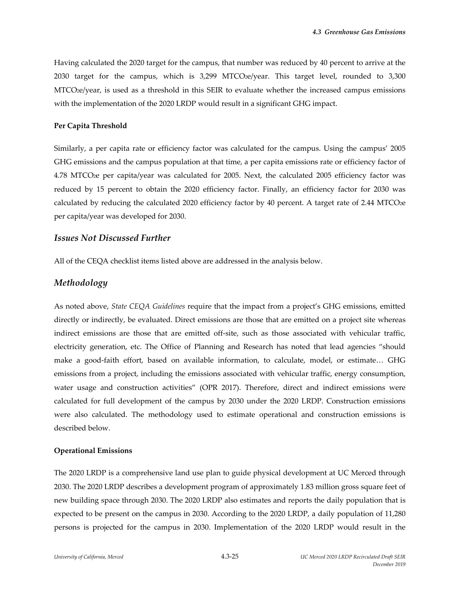Having calculated the 2020 target for the campus, that number was reduced by 40 percent to arrive at the 2030 target for the campus, which is  $3,299$  MTCO $2e$ /year. This target level, rounded to  $3,300$ MTCO2e/year, is used as a threshold in this SEIR to evaluate whether the increased campus emissions with the implementation of the 2020 LRDP would result in a significant GHG impact.

#### **Per Capita Threshold**

Similarly, a per capita rate or efficiency factor was calculated for the campus. Using the campus' 2005 GHG emissions and the campus population at that time, a per capita emissions rate or efficiency factor of 4.78 MTCO2e per capita/year was calculated for 2005. Next, the calculated 2005 efficiency factor was reduced by 15 percent to obtain the 2020 efficiency factor. Finally, an efficiency factor for 2030 was calculated by reducing the calculated 2020 efficiency factor by 40 percent. A target rate of 2.44 MTCO2e per capita/year was developed for 2030.

#### *Issues Not Discussed Further*

All of the CEQA checklist items listed above are addressed in the analysis below.

### *Methodology*

As noted above, *State CEQA Guidelines* require that the impact from a project's GHG emissions, emitted directly or indirectly, be evaluated. Direct emissions are those that are emitted on a project site whereas indirect emissions are those that are emitted off‐site, such as those associated with vehicular traffic, electricity generation, etc. The Office of Planning and Research has noted that lead agencies "should make a good-faith effort, based on available information, to calculate, model, or estimate... GHG emissions from a project, including the emissions associated with vehicular traffic, energy consumption, water usage and construction activities" (OPR 2017). Therefore, direct and indirect emissions were calculated for full development of the campus by 2030 under the 2020 LRDP. Construction emissions were also calculated. The methodology used to estimate operational and construction emissions is described below.

#### **Operational Emissions**

The 2020 LRDP is a comprehensive land use plan to guide physical development at UC Merced through 2030. The 2020 LRDP describes a development program of approximately 1.83 million gross square feet of new building space through 2030. The 2020 LRDP also estimates and reports the daily population that is expected to be present on the campus in 2030. According to the 2020 LRDP, a daily population of 11,280 persons is projected for the campus in 2030. Implementation of the 2020 LRDP would result in the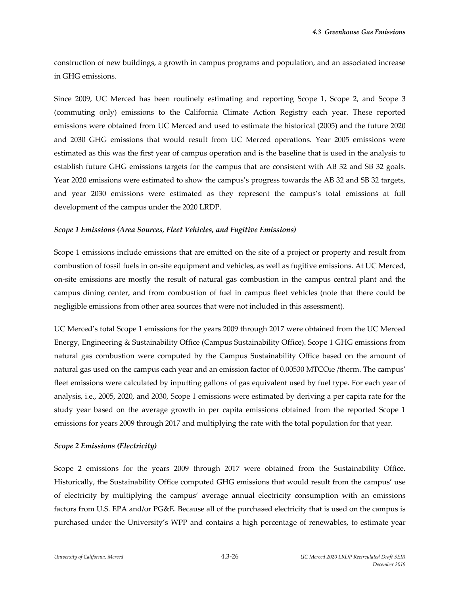construction of new buildings, a growth in campus programs and population, and an associated increase in GHG emissions.

Since 2009, UC Merced has been routinely estimating and reporting Scope 1, Scope 2, and Scope 3 (commuting only) emissions to the California Climate Action Registry each year. These reported emissions were obtained from UC Merced and used to estimate the historical (2005) and the future 2020 and 2030 GHG emissions that would result from UC Merced operations. Year 2005 emissions were estimated as this was the first year of campus operation and is the baseline that is used in the analysis to establish future GHG emissions targets for the campus that are consistent with AB 32 and SB 32 goals. Year 2020 emissions were estimated to show the campus's progress towards the AB 32 and SB 32 targets, and year 2030 emissions were estimated as they represent the campus's total emissions at full development of the campus under the 2020 LRDP.

#### *Scope 1 Emissions (Area Sources, Fleet Vehicles, and Fugitive Emissions)*

Scope 1 emissions include emissions that are emitted on the site of a project or property and result from combustion of fossil fuels in on‐site equipment and vehicles, as well as fugitive emissions. At UC Merced, on‐site emissions are mostly the result of natural gas combustion in the campus central plant and the campus dining center, and from combustion of fuel in campus fleet vehicles (note that there could be negligible emissions from other area sources that were not included in this assessment).

UC Merced's total Scope 1 emissions for the years 2009 through 2017 were obtained from the UC Merced Energy, Engineering & Sustainability Office (Campus Sustainability Office). Scope 1 GHG emissions from natural gas combustion were computed by the Campus Sustainability Office based on the amount of natural gas used on the campus each year and an emission factor of 0.00530 MTCO2e /therm. The campus' fleet emissions were calculated by inputting gallons of gas equivalent used by fuel type. For each year of analysis, i.e., 2005, 2020, and 2030, Scope 1 emissions were estimated by deriving a per capita rate for the study year based on the average growth in per capita emissions obtained from the reported Scope 1 emissions for years 2009 through 2017 and multiplying the rate with the total population for that year.

#### *Scope 2 Emissions (Electricity)*

Scope 2 emissions for the years 2009 through 2017 were obtained from the Sustainability Office. Historically, the Sustainability Office computed GHG emissions that would result from the campus' use of electricity by multiplying the campus' average annual electricity consumption with an emissions factors from U.S. EPA and/or PG&E. Because all of the purchased electricity that is used on the campus is purchased under the University's WPP and contains a high percentage of renewables, to estimate year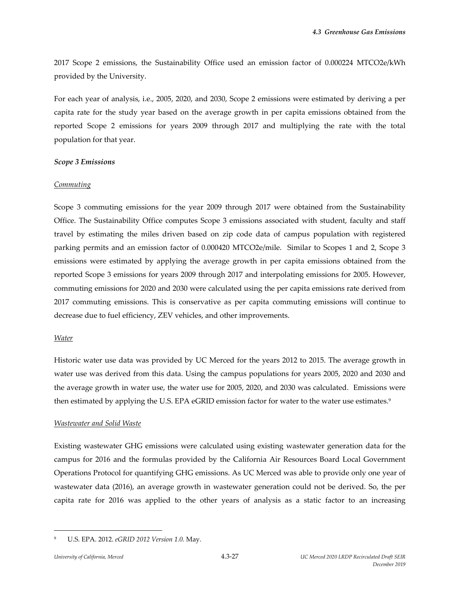2017 Scope 2 emissions, the Sustainability Office used an emission factor of 0.000224 MTCO2e/kWh provided by the University.

For each year of analysis, i.e., 2005, 2020, and 2030, Scope 2 emissions were estimated by deriving a per capita rate for the study year based on the average growth in per capita emissions obtained from the reported Scope 2 emissions for years 2009 through 2017 and multiplying the rate with the total population for that year.

### *Scope 3 Emissions*

### *Commuting*

Scope 3 commuting emissions for the year 2009 through 2017 were obtained from the Sustainability Office. The Sustainability Office computes Scope 3 emissions associated with student, faculty and staff travel by estimating the miles driven based on zip code data of campus population with registered parking permits and an emission factor of 0.000420 MTCO2e/mile. Similar to Scopes 1 and 2, Scope 3 emissions were estimated by applying the average growth in per capita emissions obtained from the reported Scope 3 emissions for years 2009 through 2017 and interpolating emissions for 2005. However, commuting emissions for 2020 and 2030 were calculated using the per capita emissions rate derived from 2017 commuting emissions. This is conservative as per capita commuting emissions will continue to decrease due to fuel efficiency, ZEV vehicles, and other improvements.

## *Water*

Historic water use data was provided by UC Merced for the years 2012 to 2015. The average growth in water use was derived from this data. Using the campus populations for years 2005, 2020 and 2030 and the average growth in water use, the water use for 2005, 2020, and 2030 was calculated. Emissions were then estimated by applying the U.S. EPA eGRID emission factor for water to the water use estimates.<sup>9</sup>

## *Wastewater and Solid Waste*

Existing wastewater GHG emissions were calculated using existing wastewater generation data for the campus for 2016 and the formulas provided by the California Air Resources Board Local Government Operations Protocol for quantifying GHG emissions. As UC Merced was able to provide only one year of wastewater data (2016), an average growth in wastewater generation could not be derived. So, the per capita rate for 2016 was applied to the other years of analysis as a static factor to an increasing

<sup>9</sup> U.S. EPA. 2012. *eGRID 2012 Version 1.0.* May.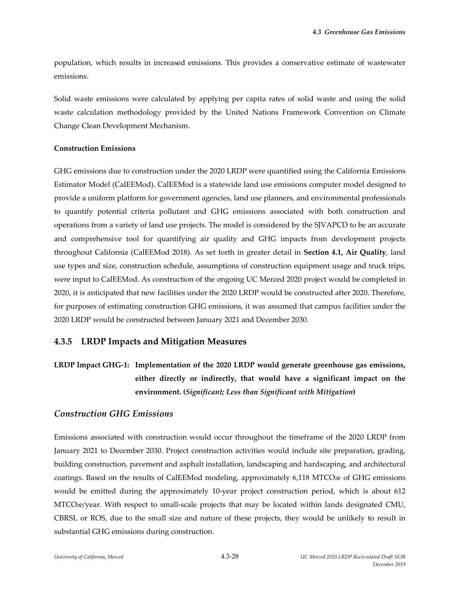population, which results in increased emissions. This provides a conservative estimate of wastewater emissions.

Solid waste emissions were calculated by applying per capita rates of solid waste and using the solid waste calculation methodology provided by the United Nations Framework Convention on Climate Change Clean Development Mechanism.

#### **Construction Emissions**

GHG emissions due to construction under the 2020 LRDP were quantified using the California Emissions Estimator Model (CalEEMod). CalEEMod is a statewide land use emissions computer model designed to provide a uniform platform for government agencies, land use planners, and environmental professionals to quantify potential criteria pollutant and GHG emissions associated with both construction and operations from a variety of land use projects. The model is considered by the SJVAPCD to be an accurate and comprehensive tool for quantifying air quality and GHG impacts from development projects throughout California (CalEEMod 2018). As set forth in greater detail in **Section 4.1, Air Quality**, land use types and size, construction schedule, assumptions of construction equipment usage and truck trips, were input to CalEEMod. As construction of the ongoing UC Merced 2020 project would be completed in 2020, it is anticipated that new facilities under the 2020 LRDP would be constructed after 2020. Therefore, for purposes of estimating construction GHG emissions, it was assumed that campus facilities under the 2020 LRDP would be constructed between January 2021 and December 2030.

## **4.3.5 LRDP Impacts and Mitigation Measures**

# **LRDP Impact GHG‐1: Implementation of the 2020 LRDP would generate greenhouse gas emissions, either directly or indirectly, that would have a significant impact on the environment. (***Significant; Less than Significant with Mitigation***)**

## *Construction GHG Emissions*

Emissions associated with construction would occur throughout the timeframe of the 2020 LRDP from January 2021 to December 2030. Project construction activities would include site preparation, grading, building construction, pavement and asphalt installation, landscaping and hardscaping, and architectural coatings. Based on the results of CalEEMod modeling, approximately 6,118 MTCO<sub>2</sub>e of GHG emissions would be emitted during the approximately 10‐year project construction period, which is about 612 MTCO<sub>2</sub>e/year. With respect to small-scale projects that may be located within lands designated CMU, CBRSL or ROS, due to the small size and nature of these projects, they would be unlikely to result in substantial GHG emissions during construction.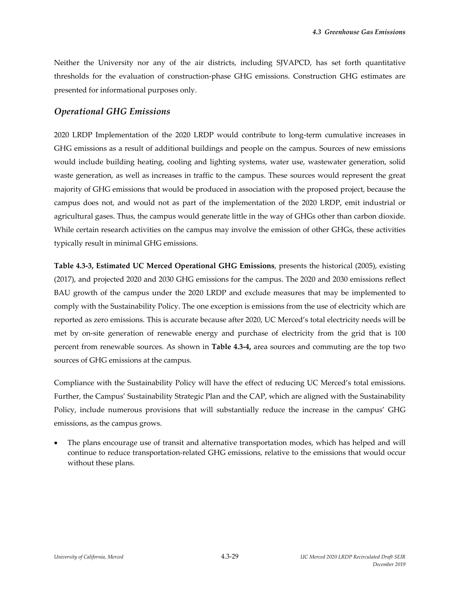Neither the University nor any of the air districts, including SJVAPCD, has set forth quantitative thresholds for the evaluation of construction‐phase GHG emissions. Construction GHG estimates are presented for informational purposes only.

# *Operational GHG Emissions*

2020 LRDP Implementation of the 2020 LRDP would contribute to long‐term cumulative increases in GHG emissions as a result of additional buildings and people on the campus. Sources of new emissions would include building heating, cooling and lighting systems, water use, wastewater generation, solid waste generation, as well as increases in traffic to the campus. These sources would represent the great majority of GHG emissions that would be produced in association with the proposed project, because the campus does not, and would not as part of the implementation of the 2020 LRDP, emit industrial or agricultural gases. Thus, the campus would generate little in the way of GHGs other than carbon dioxide. While certain research activities on the campus may involve the emission of other GHGs, these activities typically result in minimal GHG emissions.

**Table 4.3‐3, Estimated UC Merced Operational GHG Emissions**, presents the historical (2005), existing (2017), and projected 2020 and 2030 GHG emissions for the campus. The 2020 and 2030 emissions reflect BAU growth of the campus under the 2020 LRDP and exclude measures that may be implemented to comply with the Sustainability Policy. The one exception is emissions from the use of electricity which are reported as zero emissions. This is accurate because after 2020, UC Merced's total electricity needs will be met by on‐site generation of renewable energy and purchase of electricity from the grid that is 100 percent from renewable sources. As shown in **Table 4.3‐4,** area sources and commuting are the top two sources of GHG emissions at the campus.

Compliance with the Sustainability Policy will have the effect of reducing UC Merced's total emissions. Further, the Campus' Sustainability Strategic Plan and the CAP, which are aligned with the Sustainability Policy, include numerous provisions that will substantially reduce the increase in the campus' GHG emissions, as the campus grows.

 The plans encourage use of transit and alternative transportation modes, which has helped and will continue to reduce transportation‐related GHG emissions, relative to the emissions that would occur without these plans.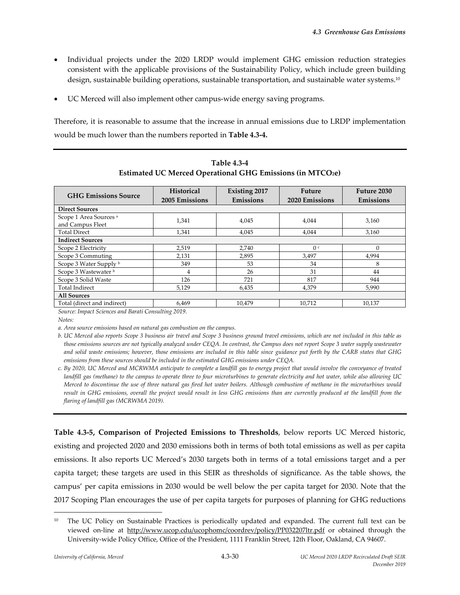- Individual projects under the 2020 LRDP would implement GHG emission reduction strategies consistent with the applicable provisions of the Sustainability Policy, which include green building design, sustainable building operations, sustainable transportation, and sustainable water systems.<sup>10</sup>
- UC Merced will also implement other campus‐wide energy saving programs.

Therefore, it is reasonable to assume that the increase in annual emissions due to LRDP implementation would be much lower than the numbers reported in **Table 4.3‐4.**

| <b>GHG Emissions Source</b>                           | <b>Historical</b><br>2005 Emissions | <b>Existing 2017</b><br>Emissions | <b>Future</b><br>2020 Emissions | Future 2030<br>Emissions |  |  |
|-------------------------------------------------------|-------------------------------------|-----------------------------------|---------------------------------|--------------------------|--|--|
| <b>Direct Sources</b>                                 |                                     |                                   |                                 |                          |  |  |
| Scope 1 Area Sources <sup>a</sup><br>and Campus Fleet | 1,341                               | 4,045                             | 4,044                           | 3,160                    |  |  |
| <b>Total Direct</b>                                   | 1,341                               | 4,045                             | 4,044                           | 3,160                    |  |  |
| <b>Indirect Sources</b>                               |                                     |                                   |                                 |                          |  |  |
| Scope 2 Electricity                                   | 2,519                               | 2,740                             | 0 <sup>c</sup>                  |                          |  |  |
| Scope 3 Commuting                                     | 2,131                               | 2,895                             | 3,497                           | 4,994                    |  |  |
| Scope 3 Water Supply b                                | 349                                 | 53                                | 34                              | 8                        |  |  |
| Scope 3 Wastewater b                                  | 4                                   | 26                                | 31                              | 44                       |  |  |
| Scope 3 Solid Waste                                   | 126                                 | 721                               | 817                             | 944                      |  |  |
| <b>Total Indirect</b>                                 | 5.129                               | 6,435                             | 4.379                           | 5.990                    |  |  |
| <b>All Sources</b>                                    |                                     |                                   |                                 |                          |  |  |
| Total (direct and indirect)                           | 6,469                               | 10,479                            | 10,712                          | 10,137                   |  |  |

**Table 4.3‐4 Estimated UC Merced Operational GHG Emissions (in MTCO2e)** 

*Source: Impact Sciences and Barati Consulting 2019.*

 $Notes:$ 

*a. Area source emissions based on natural gas combustion on the campus.*

b. UC Merced also reports Scope 3 business air travel and Scope 3 business ground travel emissions, which are not included in this table as those emissions sources are not typically analyzed under CEQA. In contrast, the Campus does not report Scope 3 water supply wastewater and solid waste emissions; however, those emissions are included in this table since guidance put forth by the CARB states that GHG *emissions from these sources should be included in the estimated GHG emissions under CEQA.* 

c. By 2020, UC Merced and MCRWMA anticipate to complete a landfill gas to energy project that would involve the conveyance of treated landfill gas (methane) to the campus to operate three to four microturbines to generate electricity and hot water, while also allowing UC Merced to discontinue the use of three natural gas fired hot water boilers. Although combustion of methane in the microturbines would result in GHG emissions, overall the project would result in less GHG emissions than are currently produced at the landfill from the *flaring of landfill gas (MCRWMA 2019).* 

**Table 4.3‐5, Comparison of Projected Emissions to Thresholds**, below reports UC Merced historic, existing and projected 2020 and 2030 emissions both in terms of both total emissions as well as per capita emissions. It also reports UC Merced's 2030 targets both in terms of a total emissions target and a per capita target; these targets are used in this SEIR as thresholds of significance. As the table shows, the campus' per capita emissions in 2030 would be well below the per capita target for 2030. Note that the 2017 Scoping Plan encourages the use of per capita targets for purposes of planning for GHG reductions

<sup>&</sup>lt;sup>10</sup> The UC Policy on Sustainable Practices is periodically updated and expanded. The current full text can be viewed on-line at http://www.ucop.cdu/ucophomc/coordrev/policy/PP032207ltr.pdf or obtained through the University‐wide Policy Office, Office of the President, 1111 Franklin Street, 12th Floor, Oakland, CA 94607.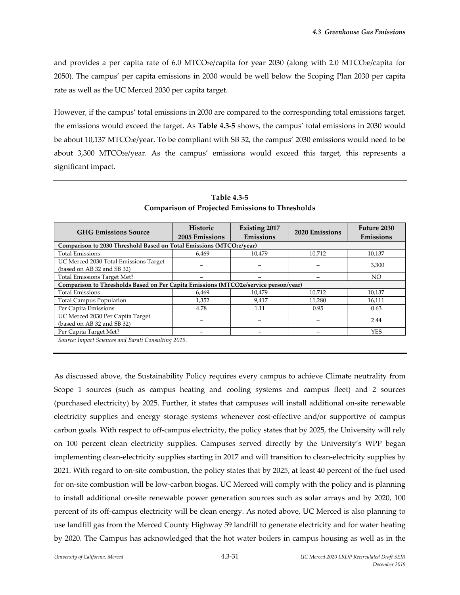and provides a per capita rate of 6.0 MTCO2e/capita for year 2030 (along with 2.0 MTCO2e/capita for 2050). The campus' per capita emissions in 2030 would be well below the Scoping Plan 2030 per capita rate as well as the UC Merced 2030 per capita target.

However, if the campus' total emissions in 2030 are compared to the corresponding total emissions target, the emissions would exceed the target. As **Table 4.3‐5** shows, the campus' total emissions in 2030 would be about 10,137 MTCO<sub>2</sub>e/year. To be compliant with SB 32, the campus' 2030 emissions would need to be about 3,300 MTCO<sub>2</sub>e/year. As the campus' emissions would exceed this target, this represents a significant impact.

| <b>GHG Emissions Source</b>                                                         | Historic<br>2005 Emissions | <b>Existing 2017</b><br>Emissions | 2020 Emissions | Future 2030<br><b>Emissions</b> |  |  |  |
|-------------------------------------------------------------------------------------|----------------------------|-----------------------------------|----------------|---------------------------------|--|--|--|
| Comparison to 2030 Threshold Based on Total Emissions (MTCO2e/year)                 |                            |                                   |                |                                 |  |  |  |
| <b>Total Emissions</b>                                                              | 6.469                      | 10.479                            | 10,712         | 10,137                          |  |  |  |
| UC Merced 2030 Total Emissions Target<br>(based on AB 32 and SB 32)                 |                            |                                   |                | 3,300                           |  |  |  |
| <b>Total Emissions Target Met?</b>                                                  |                            |                                   |                | NO.                             |  |  |  |
| Comparison to Thresholds Based on Per Capita Emissions (MTCO2e/service person/year) |                            |                                   |                |                                 |  |  |  |
| <b>Total Emissions</b>                                                              | 6.469                      | 10.479                            | 10,712         | 10,137                          |  |  |  |
| <b>Total Campus Population</b>                                                      | 1,352                      | 9,417                             | 11,280         | 16,111                          |  |  |  |
| Per Capita Emissions                                                                | 4.78                       | 1.11                              | 0.95           | 0.63                            |  |  |  |
| UC Merced 2030 Per Capita Target<br>(based on AB 32 and SB 32)                      |                            |                                   |                | 2.44                            |  |  |  |
| Per Capita Target Met?                                                              |                            |                                   |                | <b>YES</b>                      |  |  |  |

**Table 4.3‐5 Comparison of Projected Emissions to Thresholds** 

*Source: Impact Sciences and Barati Consulting 2019.* 

As discussed above, the Sustainability Policy requires every campus to achieve Climate neutrality from Scope 1 sources (such as campus heating and cooling systems and campus fleet) and 2 sources (purchased electricity) by 2025. Further, it states that campuses will install additional on‐site renewable electricity supplies and energy storage systems whenever cost-effective and/or supportive of campus carbon goals. With respect to off‐campus electricity, the policy states that by 2025, the University will rely on 100 percent clean electricity supplies. Campuses served directly by the University's WPP began implementing clean‐electricity supplies starting in 2017 and will transition to clean‐electricity supplies by 2021. With regard to on‐site combustion, the policy states that by 2025, at least 40 percent of the fuel used for on‐site combustion will be low‐carbon biogas. UC Merced will comply with the policy and is planning to install additional on-site renewable power generation sources such as solar arrays and by 2020, 100 percent of its off-campus electricity will be clean energy. As noted above, UC Merced is also planning to use landfill gas from the Merced County Highway 59 landfill to generate electricity and for water heating by 2020. The Campus has acknowledged that the hot water boilers in campus housing as well as in the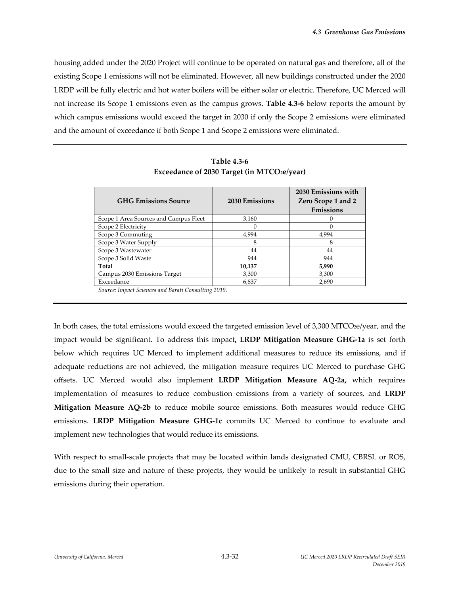housing added under the 2020 Project will continue to be operated on natural gas and therefore, all of the existing Scope 1 emissions will not be eliminated. However, all new buildings constructed under the 2020 LRDP will be fully electric and hot water boilers will be either solar or electric. Therefore, UC Merced will not increase its Scope 1 emissions even as the campus grows. **Table 4.3‐6** below reports the amount by which campus emissions would exceed the target in 2030 if only the Scope 2 emissions were eliminated and the amount of exceedance if both Scope 1 and Scope 2 emissions were eliminated.

| <b>GHG Emissions Source</b>           | 2030 Emissions | 2030 Emissions with<br>Zero Scope 1 and 2<br>Emissions |
|---------------------------------------|----------------|--------------------------------------------------------|
| Scope 1 Area Sources and Campus Fleet | 3,160          |                                                        |
| Scope 2 Electricity                   | $\Omega$       |                                                        |
| Scope 3 Commuting                     | 4,994          | 4,994                                                  |
| Scope 3 Water Supply                  | 8              | 8                                                      |
| Scope 3 Wastewater                    | 44             | 44                                                     |
| Scope 3 Solid Waste                   | 944            | 944                                                    |
| Total                                 | 10,137         | 5,990                                                  |
| Campus 2030 Emissions Target          | 3,300          | 3,300                                                  |
| Exceedance                            | 6,837          | 2,690                                                  |

**Table 4.3‐6 Exceedance of 2030 Target (in MTCO2e/year)** 

*Source: Impact Sciences and Barati Consulting 2019.* 

In both cases, the total emissions would exceed the targeted emission level of 3,300 MTCO2e/year, and the impact would be significant. To address this impact**, LRDP Mitigation Measure GHG‐1a** is set forth below which requires UC Merced to implement additional measures to reduce its emissions, and if adequate reductions are not achieved, the mitigation measure requires UC Merced to purchase GHG offsets. UC Merced would also implement **LRDP Mitigation Measure AQ‐2a,** which requires implementation of measures to reduce combustion emissions from a variety of sources, and **LRDP Mitigation Measure AQ‐2b** to reduce mobile source emissions. Both measures would reduce GHG emissions. **LRDP Mitigation Measure GHG‐1c** commits UC Merced to continue to evaluate and implement new technologies that would reduce its emissions.

With respect to small-scale projects that may be located within lands designated CMU, CBRSL or ROS, due to the small size and nature of these projects, they would be unlikely to result in substantial GHG emissions during their operation.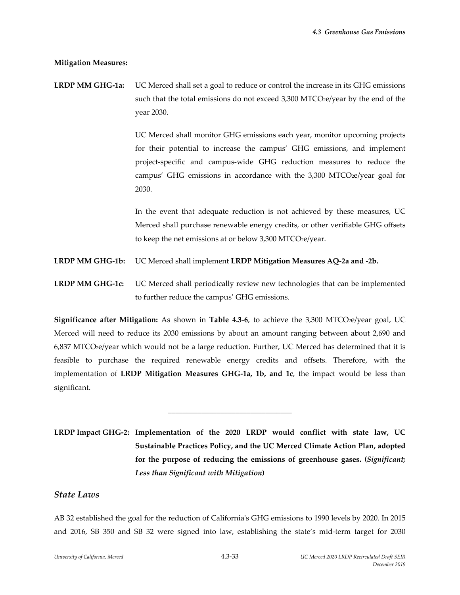#### **Mitigation Measures:**

**LRDP MM GHG‐1a:** UC Merced shall set a goal to reduce or control the increase in its GHG emissions such that the total emissions do not exceed 3,300 MTCO<sub>2</sub>e/year by the end of the year 2030.

> UC Merced shall monitor GHG emissions each year, monitor upcoming projects for their potential to increase the campus' GHG emissions, and implement project‐specific and campus‐wide GHG reduction measures to reduce the campus' GHG emissions in accordance with the  $3,300$  MTCO $2e$ /year goal for 2030.

> In the event that adequate reduction is not achieved by these measures, UC Merced shall purchase renewable energy credits, or other verifiable GHG offsets to keep the net emissions at or below 3,300 MTCO2e/year.

- **LRDP MM GHG‐1b:** UC Merced shall implement **LRDP Mitigation Measures AQ‐2a and ‐2b.**
- **LRDP MM GHG‐1c:** UC Merced shall periodically review new technologies that can be implemented to further reduce the campus' GHG emissions.

**Significance after Mitigation:** As shown in **Table 4.3‐6**, to achieve the 3,300 MTCO2e/year goal, UC Merced will need to reduce its 2030 emissions by about an amount ranging between about 2,690 and 6,837 MTCO2e/year which would not be a large reduction. Further, UC Merced has determined that it is feasible to purchase the required renewable energy credits and offsets. Therefore, with the implementation of **LRDP Mitigation Measures GHG‐1a, 1b, and 1c**, the impact would be less than significant.

**LRDP Impact GHG‐2: Implementation of the 2020 LRDP would conflict with state law, UC Sustainable Practices Policy, and the UC Merced Climate Action Plan, adopted for the purpose of reducing the emissions of greenhouse gases. (***Significant; Less than Significant with Mitigation***)**

\_\_\_\_\_\_\_\_\_\_\_\_\_\_\_\_\_\_\_\_\_\_\_\_\_\_\_\_\_\_\_\_\_

## *State Laws*

AB 32 established the goal for the reduction of California's GHG emissions to 1990 levels by 2020. In 2015 and 2016, SB 350 and SB 32 were signed into law, establishing the state's mid‐term target for 2030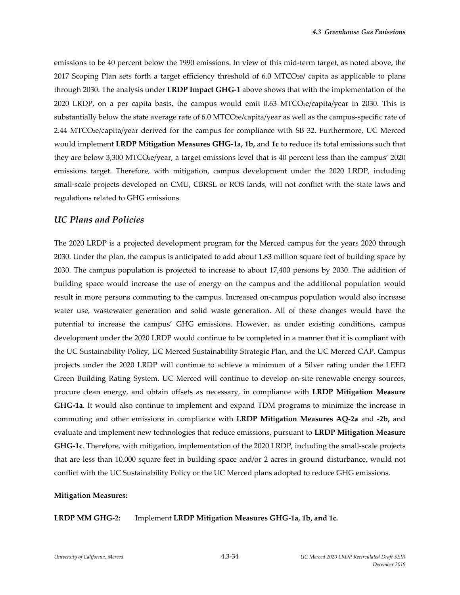emissions to be 40 percent below the 1990 emissions. In view of this mid-term target, as noted above, the 2017 Scoping Plan sets forth a target efficiency threshold of 6.0 MTCO2e/ capita as applicable to plans through 2030. The analysis under **LRDP Impact GHG‐1** above shows that with the implementation of the 2020 LRDP, on a per capita basis, the campus would emit 0.63 MTCO2e/capita/year in 2030. This is substantially below the state average rate of 6.0 MTCO2e/capita/year as well as the campus-specific rate of 2.44 MTCO2e/capita/year derived for the campus for compliance with SB 32. Furthermore, UC Merced would implement **LRDP Mitigation Measures GHG‐1a, 1b,** and **1c** to reduce its total emissions such that they are below 3,300 MTCO2e/year, a target emissions level that is 40 percent less than the campus' 2020 emissions target. Therefore, with mitigation, campus development under the 2020 LRDP, including small-scale projects developed on CMU, CBRSL or ROS lands, will not conflict with the state laws and regulations related to GHG emissions.

#### *UC Plans and Policies*

The 2020 LRDP is a projected development program for the Merced campus for the years 2020 through 2030. Under the plan, the campus is anticipated to add about 1.83 million square feet of building space by 2030. The campus population is projected to increase to about 17,400 persons by 2030. The addition of building space would increase the use of energy on the campus and the additional population would result in more persons commuting to the campus. Increased on‐campus population would also increase water use, wastewater generation and solid waste generation. All of these changes would have the potential to increase the campus' GHG emissions. However, as under existing conditions, campus development under the 2020 LRDP would continue to be completed in a manner that it is compliant with the UC Sustainability Policy, UC Merced Sustainability Strategic Plan, and the UC Merced CAP. Campus projects under the 2020 LRDP will continue to achieve a minimum of a Silver rating under the LEED Green Building Rating System. UC Merced will continue to develop on‐site renewable energy sources, procure clean energy, and obtain offsets as necessary, in compliance with **LRDP Mitigation Measure GHG‐1a**. It would also continue to implement and expand TDM programs to minimize the increase in commuting and other emissions in compliance with **LRDP Mitigation Measures AQ‐2a** and **‐2b,** and evaluate and implement new technologies that reduce emissions, pursuant to **LRDP Mitigation Measure GHG‐1c**. Therefore, with mitigation, implementation of the 2020 LRDP, including the small‐scale projects that are less than 10,000 square feet in building space and/or 2 acres in ground disturbance, would not conflict with the UC Sustainability Policy or the UC Merced plans adopted to reduce GHG emissions.

#### **Mitigation Measures:**

**LRDP MM GHG‐2:** Implement **LRDP Mitigation Measures GHG‐1a, 1b, and 1c.**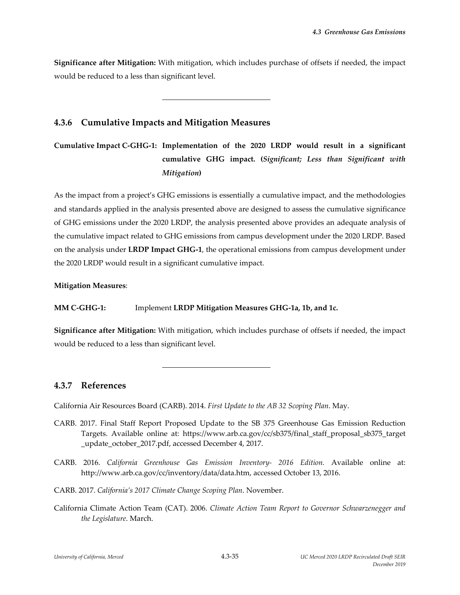**Significance after Mitigation:** With mitigation, which includes purchase of offsets if needed, the impact would be reduced to a less than significant level.

# **4.3.6 Cumulative Impacts and Mitigation Measures**

l

**Cumulative Impact C‐GHG‐1: Implementation of the 2020 LRDP would result in a significant cumulative GHG impact. (***Significant; Less than Significant with Mitigation***)**

As the impact from a project's GHG emissions is essentially a cumulative impact, and the methodologies and standards applied in the analysis presented above are designed to assess the cumulative significance of GHG emissions under the 2020 LRDP, the analysis presented above provides an adequate analysis of the cumulative impact related to GHG emissions from campus development under the 2020 LRDP. Based on the analysis under **LRDP Impact GHG‐1**, the operational emissions from campus development under the 2020 LRDP would result in a significant cumulative impact.

**Mitigation Measures**:

## **MM C‐GHG‐1:** Implement **LRDP Mitigation Measures GHG‐1a, 1b, and 1c.**

**Significance after Mitigation:** With mitigation, which includes purchase of offsets if needed, the impact would be reduced to a less than significant level.

## **4.3.7 References**

California Air Resources Board (CARB). 2014. *First Update to the AB 32 Scoping Plan*. May.

- CARB. 2017. Final Staff Report Proposed Update to the SB 375 Greenhouse Gas Emission Reduction Targets. Available online at: https://www.arb.ca.gov/cc/sb375/final\_staff\_proposal\_sb375\_target \_update\_october\_2017.pdf, accessed December 4, 2017.
- CARB. 2016. *California Greenhouse Gas Emission Inventory‐ 2016 Edition.* Available online at: http://www.arb.ca.gov/cc/inventory/data/data.htm, accessed October 13, 2016.
- CARB. 2017. *California's 2017 Climate Change Scoping Plan*. November.

l

California Climate Action Team (CAT). 2006. *Climate Action Team Report to Governor Schwarzenegger and the Legislature*. March.